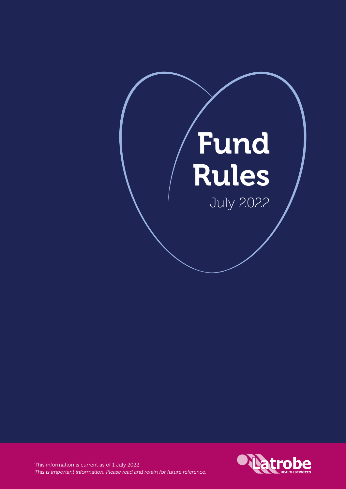# Fund Rules July 2022



This information is current as of 1 July 2022 *This is important information. Please read and retain for future reference.*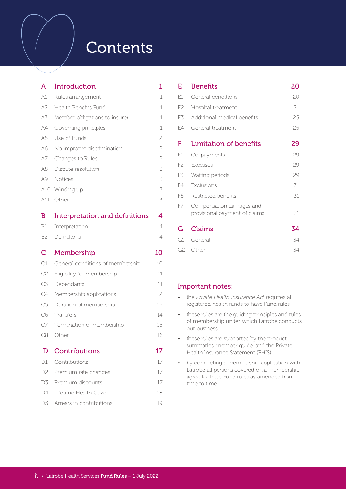## **Contents**

| А              | Introduction                          |                |  |  |  |
|----------------|---------------------------------------|----------------|--|--|--|
| A1             | Rules arrangement                     | 1              |  |  |  |
| A2             | Health Benefits Fund                  | 1              |  |  |  |
| A3             | Member obligations to insurer         | 1              |  |  |  |
| A4             | Governing principles                  | 1              |  |  |  |
| A5             | Use of Funds                          | 2              |  |  |  |
| A6             | No improper discrimination            |                |  |  |  |
| A7             | Changes to Rules                      | $\overline{c}$ |  |  |  |
| A8             | Dispute resolution                    | 3              |  |  |  |
| A9             | <b>Notices</b>                        | 3              |  |  |  |
| A10            | Winding up                            | 3              |  |  |  |
| A11            | Other                                 | 3              |  |  |  |
| B              | <b>Interpretation and definitions</b> | 4              |  |  |  |
| <b>B1</b>      | Interpretation                        | 4              |  |  |  |
| B <sub>2</sub> | Definitions                           | 4              |  |  |  |
| C              | Membership                            | 10             |  |  |  |
| C1             | General conditions of membership      | 10             |  |  |  |
| C <sub>2</sub> | Eligibility for membership            | 11             |  |  |  |
| C <sub>3</sub> | Dependants                            | 11             |  |  |  |
| C4             | Membership applications               | 12.            |  |  |  |
| C <sub>5</sub> | Duration of membership                | 12             |  |  |  |
| C <sub>6</sub> | Transfers                             | 14             |  |  |  |
| C7             | Termination of membership             | 15             |  |  |  |
| C8             | Other                                 | 16             |  |  |  |
| D              | <b>Contributions</b>                  | 17             |  |  |  |
| D1             | Contributions                         | 17             |  |  |  |
| D <sub>2</sub> | Premium rate changes                  | 17             |  |  |  |

| E              | Benefits                                                  | 20 |
|----------------|-----------------------------------------------------------|----|
| E.1            | General conditions                                        | 20 |
| F.2.           | Hospital treatment                                        | 21 |
| E <sub>3</sub> | Additional medical benefits                               | 25 |
| F.4            | General treatment                                         | 25 |
| F              | <b>Limitation of benefits</b>                             | 29 |
| F1             | Co-payments                                               | 29 |
| F2.            | <b>Excesses</b>                                           | 29 |
| F3             | Waiting periods                                           | 29 |
| F4             | Exclusions                                                | 31 |
| F6             | Restricted benefits                                       | 31 |
| F7             | Compensation damages and<br>provisional payment of claims | 31 |
| G              | Claims                                                    | 34 |
| G1             | General                                                   | 34 |
| G2             | Other                                                     | 34 |

#### Important notes:

- the *Private Health Insurance Act* requires all registered health funds to have Fund rules
- these rules are the guiding principles and rules of membership under which Latrobe conducts our business
- these rules are supported by the product summaries, member guide, and the Private Health Insurance Statement (PHIS)
- by completing a membership application with Latrobe all persons covered on a membership agree to these Fund rules as amended from time to time.

D3 Premium discounts 17 D4 Lifetime Health Cover 18 D5 Arrears in contributions 19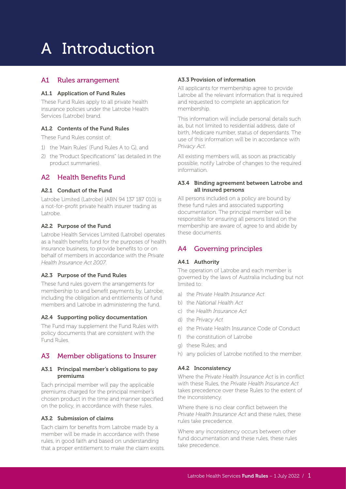# A Introduction

#### A1 Rules arrangement

#### A1.1 Application of Fund Rules

These Fund Rules apply to all private health insurance policies under the Latrobe Health Services (Latrobe) brand.

#### A1.2 Contents of the Fund Rules

These Fund Rules consist of:

- 1) the 'Main Rules' (Fund Rules A to G), and
- 2) the 'Product Specifications" (as detailed in the product summaries).

#### A2 Health Benefits Fund

#### A2.1 Conduct of the Fund

Latrobe Limited (Latrobe) (ABN 94 137 187 010) is a not-for-profit private health insurer trading as Latrobe.

#### A2.2 Purpose of the Fund

Latrobe Health Services Limited (Latrobe) operates as a health benefits fund for the purposes of health insurance business, to provide benefits to or on behalf of members in accordance with the *Private Health Insurance Act 2007*.

#### A2.3 Purpose of the Fund Rules

These fund rules govern the arrangements for membership to and benefit payments by, Latrobe, including the obligation and entitlements of fund members and Latrobe in administering the fund.

#### A2.4 Supporting policy documentation

The Fund may supplement the Fund Rules with policy documents that are consistent with the Fund Rules.

#### A3 Member obligations to Insurer

#### A3.1 Principal member's obligations to pay premiums

Each principal member will pay the applicable premiums charged for the principal member's chosen product in the time and manner specified on the policy, in accordance with these rules.

#### A3.2 Submission of claims

Each claim for benefits from Latrobe made by a member will be made in accordance with these rules, in good faith and based on understanding that a proper entitlement to make the claim exists.

#### A3.3 Provision of information

All applicants for membership agree to provide Latrobe all the relevant information that is required and requested to complete an application for membership.

This information will include personal details such as, but not limited to residential address, date of birth, Medicare number, status of dependants. The use of this information will be in accordance with *Privacy Act*.

All existing members will, as soon as practicably possible, notify Latrobe of changes to the required information.

#### A3.4 Binding agreement between Latrobe and all insured persons

All persons included on a policy are bound by these fund rules and associated supporting documentation. The principal member will be responsible for ensuring all persons listed on the membership are aware of, agree to and abide by these documents.

#### A4 Governing principles

#### A4.1 Authority

The operation of Latrobe and each member is governed by the laws of Australia including but not limited to:

- a) the *Private Health Insurance Act*
- b) the *National Health Act*
- c) the *Health Insurance Act*
- d) the *Privacy Act*
- e) the Private Health Insurance Code of Conduct
- f) the constitution of Latrobe
- g) these Rules; and
- h) any policies of Latrobe notified to the member.

#### A4.2 Inconsistency

Where the *Private Health Insurance Act* is in conflict with these Rules, the *Private Health Insurance Act* takes precedence over these Rules to the extent of the inconsistency.

Where there is no clear conflict between the *Private Health Insurance Act* and these rules, these rules take precedence.

Where any inconsistency occurs between other fund documentation and these rules, these rules take precedence.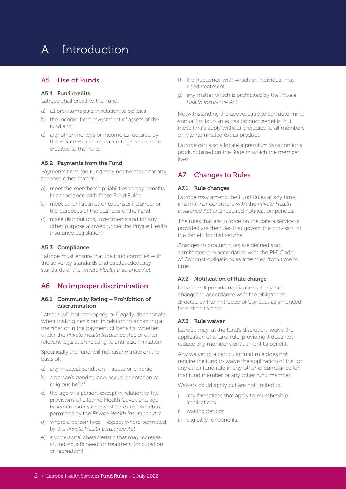### A Introduction

#### A5 Use of Funds

#### A5.1 Fund credits

Latrobe shall credit to the Fund:

- a) all premiums paid in relation to policies
- b) the income from investment of assets of the fund and
- c) any other moneys or income as required by the Private Health Insurance Legislation to be credited to the Fund.

#### A5.2 Payments from the Fund

Payments from the Fund may not be made for any purpose other than to:

- a) meet the membership liabilities to pay benefits in accordance with these Fund Rules
- b) meet other liabilities or expenses incurred for the purposes of the business of the Fund
- c) make distributions, investments and for any other purpose allowed under the Private Health Insurance Legislation.

#### A5.3 Compliance

Latrobe must ensure that the fund complies with the solvency standards and capital adequacy standards of the *Private Health Insurance Act*.

#### A6 No improper discrimination

#### A6.1 Community Rating – Prohibition of discrimination

Latrobe will not improperly or illegally discriminate when making decisions in relation to accepting a member or in the payment of benefits, whether under the *Private Health Insurance Act*, or other relevant legislation relating to anti-discrimination.

Specifically the fund will not discriminate on the basis of:

- a) any medical condition acute or chronic
- b) a person's gender, race, sexual orientation or religious belief
- c) the age of a person, except in relation to the provisions of Lifetime Health Cover, and agebased discounts or any other extent which is permitted by the *Private Health Insurance Act*
- d) where a person lives except where permitted by the *Private Health Insurance Act*
- e) any personal characteristic that may increase an individual's need for treatment (occupation or recreation)
- f) the frequency with which an individual may need treatment
- g) any matter which is prohibited by the *Private Health Insurance Act.*

Notwithstanding the above, Latrobe can determine annual limits to an extras product benefits, but those limits apply without prejudice to all members on the nominated extras product.

Latrobe can also allocate a premium variation for a product based on the State in which the member lives.

#### A7 Changes to Rules

#### A7.1 Rule changes

Latrobe may amend the Fund Rules at any time, in a manner consistent with the *Private Health Insurance Act* and required notification periods.

The rules that are in force on the date a service is provided are the rules that govern the provision of the benefit for that service.

Changes to product rules are defined and administered in accordance with the PHI Code of Conduct obligations as amended from time to time.

#### A7.2 Notification of Rule change

Latrobe will provide notification of any rule changes in accordance with the obligations directed by the PHI Code of Conduct as amended from time to time.

#### A7.3 Rule waiver

Latrobe may, at the fund's discretion, waive the application of a fund rule, providing it does not reduce any member's entitlement to benefit.

Any waiver of a particular fund rule does not require the fund to waive the application of that or any other fund rule in any other circumstance for that fund member or any other fund member.

Waivers could apply but are not limited to:

- i any formalities that apply to membership applications
- ii waiting periods
- iii eligibility for benefits.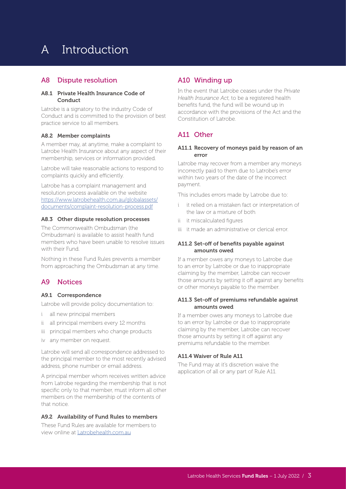### A Introduction

#### A8 Dispute resolution

#### A8.1 Private Health Insurance Code of Conduct

Latrobe is a signatory to the industry Code of Conduct and is committed to the provision of best practice service to all members.

#### A8.2 Member complaints

A member may, at anytime, make a complaint to Latrobe Health Insurance about any aspect of their membership, services or information provided.

Latrobe will take reasonable actions to respond to complaints quickly and efficiently.

Latrobe has a complaint management and resolution process available on the website https://www.latrobehealth.com.au/globalassets/ documents/complaint-resolution-process.pdf

#### A8.3 Other dispute resolution processes

The Commonwealth Ombudsman (the Ombudsman) is available to assist health fund members who have been unable to resolve issues with their Fund.

Nothing in these Fund Rules prevents a member from approaching the Ombudsman at any time.

#### A9 Notices

#### A9.1 Correspondence

Latrobe will provide policy documentation to:

- i all new principal members
- ii all principal members every 12 months
- iii principal members who change products
- iv any member on request.

Latrobe will send all correspondence addressed to the principal member to the most recently advised address, phone number or email address.

A principal member whom receives written advice from Latrobe regarding the membership that is not specific only to that member, must inform all other members on the membership of the contents of that notice.

#### A9.2 Availability of Fund Rules to members

These Fund Rules are available for members to view online at Latrobehealth.com.au

#### A10 Winding up

In the event that Latrobe ceases under the *Private Health Insurance Act*, to be a registered health benefits fund, the fund will be wound up in accordance with the provisions of the Act and the Constitution of Latrobe.

#### A11 Other

#### A11.1 Recovery of moneys paid by reason of an error

Latrobe may recover from a member any moneys incorrectly paid to them due to Latrobe's error within two years of the date of the incorrect payment.

This includes errors made by Latrobe due to:

- i it relied on a mistaken fact or interpretation of the law or a mixture of both
- ii it miscalculated figures
- iii it made an administrative or clerical error.

#### A11.2 Set-off of benefits payable against amounts owed

If a member owes any moneys to Latrobe due to an error by Latrobe or due to inappropriate claiming by the member, Latrobe can recover those amounts by setting it off against any benefits or other moneys payable to the member.

#### A11.3 Set-off of premiums refundable against amounts owed

If a member owes any moneys to Latrobe due to an error by Latrobe or due to inappropriate claiming by the member, Latrobe can recover those amounts by setting it off against any premiums refundable to the member.

#### A11.4 Waiver of Rule A11

The Fund may at it's discretion waive the application of all or any part of Rule A11.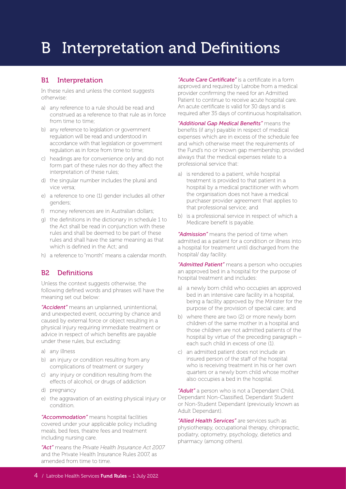#### B1 Interpretation

In these rules and unless the context suggests otherwise:

- a) any reference to a rule should be read and construed as a reference to that rule as in force from time to time:
- b) any reference to legislation or government regulation will be read and understood in accordance with that legislation or government regulation as in force from time to time;
- c) headings are for convenience only and do not form part of these rules nor do they affect the interpretation of these rules;
- d) the singular number includes the plural and vice versa;
- e) a reference to one (1) gender includes all other genders;
- f) money references are in Australian dollars;
- g) the definitions in the dictionary in schedule 1 to the Act shall be read in conjunction with these rules and shall be deemed to be part of these rules and shall have the same meaning as that which is defined in the Act; and
- h) a reference to "month" means a calendar month.

#### B2 Definitions

Unless the context suggests otherwise, the following defined words and phrases will have the meaning set out below:

*"Accident"* means an unplanned, unintentional, and unexpected event, occurring by chance and caused by external force or object resulting in a physical injury requiring immediate treatment or advice in respect of which benefits are payable under these rules, but excluding:

- a) any illness
- b) an injury or condition resulting from any complications of treatment or surgery
- c) any injury or condition resulting from the effects of alcohol, or drugs of addiction
- d) pregnancy
- e) the aggravation of an existing physical injury or condition.

*"Accommodation"* means hospital facilities covered under your applicable policy including meals, bed fees, theatre fees and treatment including nursing care.

*"Act"* means the *Private Health Insurance Act 2007* and the Private Health Insurance Rules 2007, as amended from time to time.

*"Acute Care Certificate"* is a certificate in a form approved and required by Latrobe from a medical provider confirming the need for an Admitted Patient to continue to receive acute hospital care. An acute certificate is valid for 30 days and is required after 35 days of continuous hospitalisation.

*"Additional Gap Medical Benefits"* means the benefits (if any) payable in respect of medical expenses which are in excess of the schedule fee and which otherwise meet the requirements of the Fund's no or known gap membership, provided always that the medical expenses relate to a professional service that:

- a) is rendered to a patient, while hospital treatment is provided to that patient in a hospital by a medical practitioner with whom the organisation does not have a medical purchaser provider agreement that applies to that professional service; and
- b) is a professional service in respect of which a Medicare benefit is payable.

*"Admission"* means the period of time when admitted as a patient for a condition or illness into a hospital for treatment until discharged from the hospital/ day facility.

*"Admitted Patient"* means a person who occupies an approved bed in a hospital for the purpose of hospital treatment and includes:

- a) a newly born child who occupies an approved bed in an intensive care facility in a hospital, being a facility approved by the Minister for the purpose of the provision of special care; and
- b) where there are two (2) or more newly born children of the same mother in a hospital and those children are not admitted patients of the hospital by virtue of the preceding paragraph – each such child in excess of one (1).
- c) an admitted patient does not include an insured person of the staff of the hospital who is receiving treatment in his or her own quarters or a newly born child whose mother also occupies a bed in the hospital.

*"Adult"* a person who is not a Dependant Child, Dependant Non-Classified, Dependant Student or Non-Student Dependant (previously known as Adult Dependant).

*"Allied Health Services"* are services such as physiotherapy, occupational therapy, chiropractic, podiatry, optometry, psychology, dietetics and pharmacy (among others).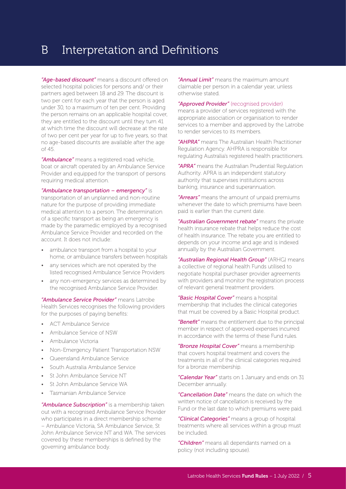*"Age-based discount"* means a discount offered on selected hospital policies for persons and/ or their partners aged between 18 and 29. The discount is two per cent for each year that the person is aged under 30, to a maximum of ten per cent. Providing the person remains on an applicable hospital cover, they are entitled to the discount until they turn 41 at which time the discount will decrease at the rate of two per cent per year for up to five years, so that no age-based discounts are available after the age of 45.

*"Ambulance"* means a registered road vehicle, boat or aircraft operated by an Ambulance Service Provider and equipped for the transport of persons requiring medical attention.

*"Ambulance transportation – emergency"* is

transportation of an unplanned and non-routine nature for the purpose of providing immediate medical attention to a person. The determination of a specific transport as being an emergency is made by the paramedic employed by a recognised Ambulance Service Provider and recorded on the account. It does not include:

- ambulance transport from a hospital to your home, or ambulance transfers between hospitals
- any services which are not operated by the listed recognised Ambulance Service Providers
- any non-emergency services as determined by the recognised Ambulance Service Provider.

*"Ambulance Service Provider"* means Latrobe Health Services recognises the following providers for the purposes of paying benefits:

- ACT Ambulance Service
- Ambulance Service of NSW
- Ambulance Victoria
- Non-Emergency Patient Transportation NSW
- Queensland Ambulance Service
- South Australia Ambulance Service
- St John Ambulance Service NT
- St John Ambulance Service WA
- Tasmanian Ambulance Service

*"Ambulance Subscription"* is a membership taken out with a recognised Ambulance Service Provider who participates in a direct membership scheme – Ambulance Victoria, SA Ambulance Service, St John Ambulance Service NT and WA. The services covered by these memberships is defined by the governing ambulance body.

*"Annual Limit"* means the maximum amount claimable per person in a calendar year, unless otherwise stated.

#### *"Approved Provider"* (recognised provider)

means a provider of services registered with the appropriate association or organisation to render services to a member and approved by the Latrobe to render services to its members.

*"AHPRA"* means The Australian Health Practitioner Regulation Agency. AHPRA is responsible for regulating Australia's registered health practitioners.

*"APRA"* means the Australian Prudential Regulation Authority. APRA is an independent statutory authority that supervises institutions across banking, insurance and superannuation.

*"Arrears"* means the amount of unpaid premiums whenever the date to which premiums have been paid is earlier than the current date.

*"Australian Government rebate"* means the private health insurance rebate that helps reduce the cost of health insurance. The rebate you are entitled to depends on your income and age and is indexed annually by the Australian Government.

*"Australian Regional Health Group"* (ARHG) means a collective of regional health Funds utilised to negotiate hospital purchaser provider agreements with providers and monitor the registration process of relevant general treatment providers.

*"Basic Hospital Cover"* means a hospital membership that includes the clinical categories that must be covered by a Basic Hospital product.

*"Benefit"* means the entitlement due to the principal member in respect of approved expenses incurred in accordance with the terms of these Fund rules.

*"Bronze Hospital Cover"* means a membership that covers hospital treatment and covers the treatments in all of the clinical categories required for a bronze membership.

*"Calendar Year"* starts on 1 January and ends on 31 December annually.

*"Cancellation Date"* means the date on which the written notice of cancellation is received by the Fund or the last date to which premiums were paid.

*"Clinical Categories"* means a group of hospital treatments where all services within a group must be included.

*"Children"* means all dependants named on a policy (not including spouse).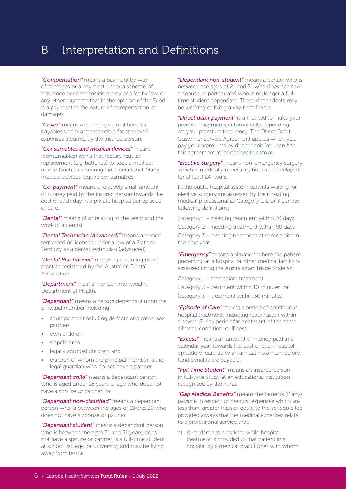*"Compensation"* means a payment by way of damages or a payment under a scheme of insurance or compensation provided for by law, or any other payment that in the opinion of the Fund is a payment in the nature of compensation or damages.

*"Cover"* means a defined group of benefits payables under a membership for approved expenses incurred by the insured person.

*"Consumables and medical devices"* means (consumables) items that require regular replacement (e.g. batteries) to keep a medical device (such as a hearing aid) operational. Many medical devices require consumables.

*"Co-payment"* means a relatively small amount of money paid by the insured person towards the cost of each day in a private hospital per episode of care.

*"Dental"* means of or relating to the teeth and the work of a dentist.

*"Dental Technician (Advanced)"* means a person registered or licensed under a law of a State or Territory as a dental technician (advanced).

*"Dental Practitioner"* means a person in private practice registered by the Australian Dental Association.

*"Department"* means The Commonwealth Department of Health.

*"Dependant"* means a person dependant upon the principal member including:

- adult partner (including de facto and same-sex partner)
- own children
- stepchildren
- legally adopted children, and
- children of whom the principal member is the legal guardian who do not have a partner.

*"Dependant child"* means a dependant person who is aged under 18 years of age who does not have a spouse or partner; or

*"Dependant non-classified"* means a dependant person who is between the ages of 18 and 20 who does not have a spouse or partner.

*"Dependant student"* means a dependant person who is between the ages 21 and 31 years, does not have a spouse or partner, is a full-time student at school, college, or university; and may be living away from home.

*"Dependant non-student"* means a person who is between the ages of 21 and 31 who does not have a spouse or partner and who is no longer a fulltime student dependant. These dependants may be working or living away from home.

*"Direct debit payment"* is a method to make your premium payments automatically depending on your premium frequency. The Direct Debit Customer Service Agreement applies when you pay your premiums by direct debit. You can find this agreement at latrobehealth.com.au

*"Elective Surgery"* means non-emergency surgery which is medically necessary, but can be delayed for at least 24 hours.

In the public hospital system patients waiting for elective surgery are assessed by their treating medical professional as Category 1, 2 or 3 per the following definitions:

Category 1 – needing treatment within 30 days Category 2 – needing treatment within 90 days Category 3 – needing treatment at some point in the next year.

*"Emergency"* means a situation where the patient presenting at a hospital or other medical facility is assessed using the Australasian Triage Scale as:

Category 1 – immediate treatment

Category 2 - treatment within 10 minutes; or

Category 3 – treatment within 30 minutes.

*"Episode of Care"* means a period of continuous hospital treatment, including readmission within a seven (7) day period for treatment of the same ailment, condition, or illness.

*"Excess"* means an amount of money paid in a calendar year towards the cost of each hospital episode of care up to an annual maximum before fund benefits are payable.

*"Full Time Student"* means an insured person in full-time study at an educational institution recognised by the Fund.

*"Gap Medical Benefits"* means the benefits (if any) payable in respect of medical expenses which are less than, greater than or equal to the schedule fee, provided always that the medical expenses relate to a professional service that:

a) is rendered to a patient, while hospital treatment is provided to that patient in a hospital by a medical practitioner with whom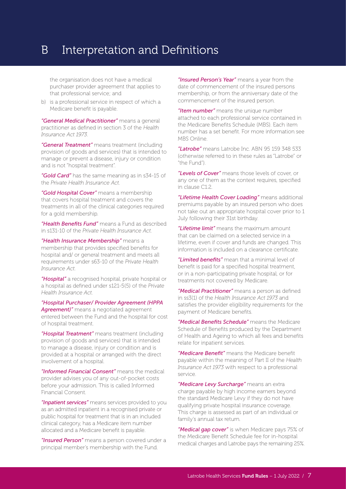the organisation does not have a medical purchaser provider agreement that applies to that professional service; and

b) is a professional service in respect of which a Medicare benefit is payable.

*"General Medical Practitioner"* means a general practitioner as defined in section 3 of the *Health Insurance Act 1973*.

*"General Treatment"* means treatment (including provision of goods and services) that is intended to manage or prevent a disease, injury or condition and is not "hospital treatment".

*"Gold Card"* has the same meaning as in s34-15 of the *Private Health Insurance Act*.

*"Gold Hospital Cover"* means a membership that covers hospital treatment and covers the treatments in all of the clinical categories required for a gold membership.

*"Health Benefits Fund"* means a Fund as described in s131-10 of the *Private Health Insurance Act*.

*"Health Insurance Membership"* means a membership that provides specified benefits for hospital and/ or general treatment and meets all requirements under s63-10 of the *Private Health Insurance Act*.

*"Hospital"* a recognised hospital, private hospital or a hospital as defined under s121-5(5) of the *Private Health Insurance Act*.

*"Hospital Purchaser/ Provider Agreement (HPPA Agreement)"* means a negotiated agreement entered between the Fund and the hospital for cost of hospital treatment.

*"Hospital Treatment"* means treatment (including provision of goods and services) that is intended to manage a disease, injury or condition and is provided at a hospital or arranged with the direct involvement of a hospital.

*"Informed Financial Consent"* means the medical provider advises you of any out-of-pocket costs before your admission. This is called Informed Financial Consent.

*"Inpatient services"* means services provided to you as an admitted inpatient in a recognised private or public hospital for treatment that is in an included clinical category, has a Medicare item number allocated and a Medicare benefit is payable.

*"Insured Person"* means a person covered under a principal member's membership with the Fund.

*"Insured Person's Year"* means a year from the date of commencement of the insured persons membership, or from the anniversary date of the commencement of the insured person.

*"Item number"* means the unique number attached to each professional service contained in the Medicare Benefits Schedule (MBS). Each item number has a set benefit. For more information see MBS Online.

*"Latrobe"* means Latrobe Inc. ABN 95 159 348 533 (otherwise referred to in these rules as "Latrobe" or "the Fund").

*"Levels of Cover"* means those levels of cover, or any one of them as the context requires, specified in clause C1.2.

*"Lifetime Health Cover Loading"* means additional premiums payable by an insured person who does not take out an appropriate hospital cover prior to 1 July following their 31st birthday.

*"Lifetime limit"* means the maximum amount that can be claimed on a selected service in a lifetime, even if cover and funds are changed. This information is included on a clearance certificate.

*"Limited benefits"* mean that a minimal level of benefit is paid for a specified hospital treatment, or in a non-participating private hospital, or for treatments not covered by Medicare.

*"Medical Practitioner"* means a person as defined in ss3(1) of the *Health Insurance Act 1973* and satisfies the provider eligibility requirements for the payment of Medicare benefits.

*"Medical Benefits Schedule"* means the Medicare Schedule of Benefits produced by the Department of Health and Ageing to which all fees and benefits relate for inpatient services.

*"Medicare Benefit"* means the Medicare benefit payable within the meaning of Part II of the *Health Insurance Act 1973* with respect to a professional service.

*"Medicare Levy Surcharge"* means an extra charge payable by high income earners beyond the standard Medicare Levy if they do not have qualifying private hospital insurance coverage. This charge is assessed as part of an individual or family's annual tax return.

*"Medical gap cover"* is when Medicare pays 75% of the Medicare Benefit Schedule fee for in-hospital medical charges and Latrobe pays the remaining 25%.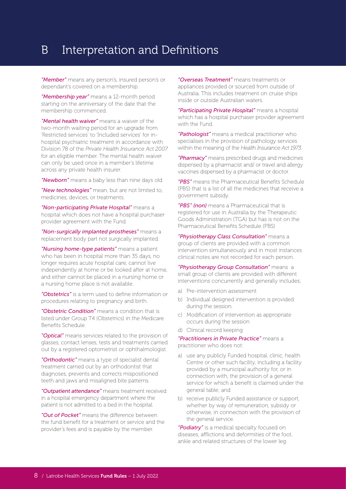*"Member"* means any person's, insured person's or dependant's covered on a membership.

*"Membership year"* means a 12-month period starting on the anniversary of the date that the membership commenced.

*"Mental health waiver"* means a waiver of the two-month waiting period for an upgrade from 'Restricted services' to 'Included services' for inhospital psychiatric treatment in accordance with Division 78 of the *Private Health Insurance Act 2007* for an eligible member. The mental health waiver can only be used once in a member's lifetime across any private health insurer.

*"Newborn"* means a baby less than nine days old.

*"New technologies"* mean, but are not limited to, medicines, devices, or treatments.

*"Non-participating Private Hospital"* means a hospital which does not have a hospital purchaser provider agreement with the Fund.

*"Non-surgically implanted prostheses"* means a replacement body part not surgically implanted.

*"Nursing home-type patients"* means a patient who has been in hospital more than 35 days, no longer requires acute hospital care, cannot live independently at home or be looked after at home, and either cannot be placed in a nursing home or a nursing home place is not available.

*"Obstetrics"* is a term used to define information or procedures relating to pregnancy and birth.

*"Obstetric Condition"* means a condition that is listed under Group T4 (Obstetrics) in the Medicare Benefits Schedule.

*"Optical"* means services related to the provision of glasses, contact lenses, tests and treatments carried out by a registered optometrist or ophthalmologist.

*"Orthodontic"* means a type of specialist dental treatment carried out by an orthodontist that diagnoses, prevents and corrects mispositioned teeth and jaws and misaligned bite patterns.

*"Outpatient attendance"* means treatment received in a hospital emergency department where the patient is not admitted to a bed in the hospital.

*"Out of Pocket"* means the difference between the fund benefit for a treatment or service and the provider's fees and is payable by the member.

*"Overseas Treatment"* means treatments or appliances provided or sourced from outside of Australia. This includes treatment on cruise ships inside or outside Australian waters.

*"Participating Private Hospital"* means a hospital which has a hospital purchaser provider agreement with the Fund.

*"Pathologist"* means a medical practitioner who specialises in the provision of pathology services within the meaning of the *Health Insurance Act 1973*.

*"Pharmacy"* means prescribed drugs and medicines dispensed by a pharmacist and/ or travel and allergy vaccines dispensed by a pharmacist or doctor.

*"PBS"* means the Pharmaceutical Benefits Schedule (PBS) that is a list of all the medicines that receive a government subsidy.

*"PBS" (non)* means a Pharmaceutical that is registered for use in Australia by the Therapeutic Goods Administration (TGA) but has is not on the Pharmaceutical Benefits Schedule (PBS)

*"Physiotherapy Class Consultation"* means a group of clients are provided with a common intervention simultaneously and in most instances clinical notes are not recorded for each person.

*"Physiotherapy Group Consultation"* means a small group of clients are provided with different interventions concurrently and generally includes;

- a) Pre-intervention assessment
- b) Individual designed intervention is provided during the session.
- c) Modification of intervention as appropriate occurs during the session
- d) Clinical record keeping

*"Practitioners in Private Practice"* means a practitioner who does not:

- a) use any publicly Funded hospital, clinic, health Centre or other such facility, including a facility provided by a municipal authority for, or in connection with, the provision of a general service for which a benefit is claimed under the general table; and
- b) receive publicly Funded assistance or support, whether by way of remuneration, subsidy or otherwise, in connection with the provision of the general service.

*"Podiatry"* is a medical specialty focused on diseases, afflictions and deformities of the foot, ankle and related structures of the lower leg.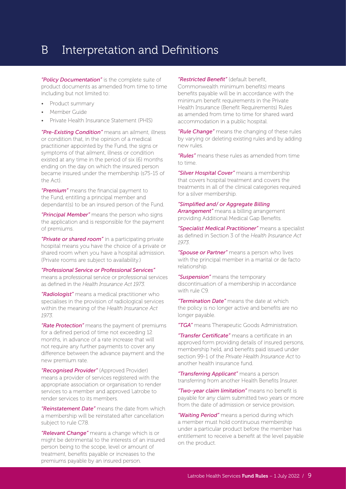*"Policy Documentation"* is the complete suite of product documents as amended from time to time including but not limited to:

- Product summary
- Member Guide
- Private Health Insurance Statement (PHIS)

*"Pre-Existing Condition"* means an ailment, illness or condition that, in the opinion of a medical practitioner appointed by the Fund, the signs or symptoms of that ailment, illness or condition existed at any time in the period of six (6) months ending on the day on which the insured person became insured under the membership (s75-15 of the Act).

*"Premium"* means the financial payment to the Fund, entitling a principal member and dependant(s) to be an insured person of the Fund.

*"Principal Member"* means the person who signs the application and is responsible for the payment of premiums.

*"Private or shared room"* in a participating private hospital means you have the choice of a private or shared room when you have a hospital admission. (Private rooms are subject to availability.)

#### *"Professional Service or Professional Services"*

means a professional service or professional services as defined in the *Health Insurance Act 1973*.

*"Radiologist"* means a medical practitioner who specialises in the provision of radiological services within the meaning of the *Health Insurance Act 1973*.

*"Rate Protection"* means the payment of premiums for a defined period of time not exceeding 12 months, in advance of a rate increase that will not require any further payments to cover any difference between the advance payment and the new premium rate.

*"Recognised Provider"* (Approved Provider) means a provider of services registered with the appropriate association or organisation to render services to a member and approved Latrobe to render services to its members.

*"Reinstatement Date"* means the date from which a membership will be reinstated after cancellation subject to rule C7.8.

*"Relevant Change"* means a change which is or might be detrimental to the interests of an insured person being to the scope, level or amount of treatment, benefits payable or increases to the premiums payable by an insured person.

#### *"Restricted Benefit"* (default benefit,

Commonwealth minimum benefits) means benefits payable will be in accordance with the minimum benefit requirements in the Private Health Insurance (Benefit Requirements) Rules as amended from time to time for shared ward accommodation in a public hospital.

*"Rule Change"* means the changing of these rules by varying or deleting existing rules and by adding new rules.

*"Rules"* means these rules as amended from time to time.

*"Silver Hospital Cover"* means a membership that covers hospital treatment and covers the treatments in all of the clinical categories required for a silver membership.

#### *"Simplified and/ or Aggregate Billing*

*Arrangement"* means a billing arrangement providing Additional Medical Gap Benefits.

*"Specialist Medical Practitioner"* means a specialist as defined in Section 3 of the *Health Insurance Act 1973*.

*"Spouse or Partner"* means a person who lives with the principal member in a marital or de facto relationship.

*"Suspension"* means the temporary discontinuation of a membership in accordance with rule C9

*"Termination Date"* means the date at which the policy is no longer active and benefits are no longer payable.

*"TGA"* means Therapeutic Goods Administration.

*"Transfer Certificate"* means a certificate in an approved form providing details of insured persons, membership held, and benefits paid issued under section 99-1 of the *Private Health Insurance Act* to another health insurance fund.

*"Transferring Applicant"* means a person transferring from another Health Benefits Insurer.

*"Two-year claim limitation"* means no benefit is payable for any claim submitted two years or more from the date of admission or service provision.

*"Waiting Period"* means a period during which a member must hold continuous membership under a particular product before the member has entitlement to receive a benefit at the level payable on the product.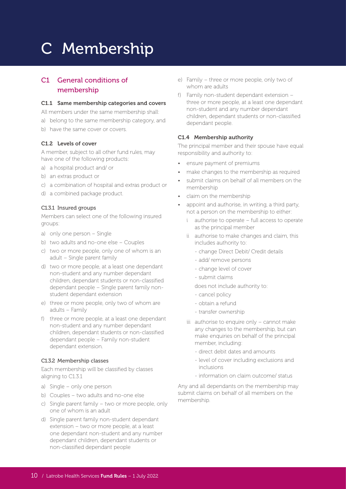#### C1 General conditions of membership

#### C1.1 Same membership categories and covers

All members under the same membership shall:

- a) belong to the same membership category, and
- b) have the same cover or covers.

#### C1.2 Levels of cover

A member, subject to all other fund rules, may have one of the following products:

- a) a hospital product and/ or
- b) an extras product or
- c) a combination of hospital and extras product or
- d) a combined package product.

#### C1.3.1 Insured groups

Members can select one of the following insured groups:

- a) only one person Single
- b) two adults and no-one else Couples
- c) two or more people, only one of whom is an adult – Single parent family
- d) two or more people, at a least one dependant non-student and any number dependant children, dependant students or non-classified dependant people – Single parent family nonstudent dependant extension
- e) three or more people, only two of whom are adults – Family
- f) three or more people, at a least one dependant non-student and any number dependant children, dependant students or non-classified dependant people – Family non-student dependant extension.

#### C1.3.2 Membership classes

Each membership will be classified by classes aligning to C1.3.1

- a) Single only one person
- b) Couples two adults and no-one else
- c) Single parent family two or more people, only one of whom is an adult
- d) Single parent family non-student dependant extension – two or more people, at a least one dependant non-student and any number dependant children, dependant students or non-classified dependant people
- e) Family three or more people, only two of whom are adults
- f) Family non-student dependant extension three or more people, at a least one dependant non-student and any number dependant children, dependant students or non-classified dependant people.

#### C1.4 Membership authority

The principal member and their spouse have equal responsibility and authority to:

- ensure payment of premiums
- make changes to the membership as required
- submit claims on behalf of all members on the membership
- claim on the membership
- appoint and authorise, in writing, a third party, not a person on the membership to either:
	- i authorise to operate full access to operate as the principal member
	- ii authorise to make changes and claim, this includes authority to:
		- change Direct Debit/ Credit details
		- add/ remove persons
		- change level of cover
		- submit claims
		- does not include authority to:
		- cancel policy
		- obtain a refund
		- transfer ownership
	- iii authorise to enquire only cannot make any changes to the membership, but can make enquiries on behalf of the principal member, including:
		- direct debit dates and amounts
		- level of cover including exclusions and inclusions
		- information on claim outcome/ status

Any and all dependants on the membership may submit claims on behalf of all members on the membership.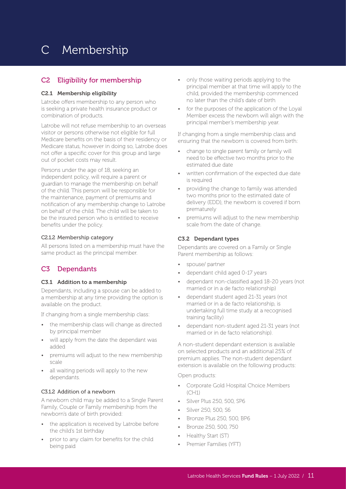#### C2 Eligibility for membership

#### C2.1 Membership eligibility

Latrobe offers membership to any person who is seeking a private health insurance product or combination of products.

Latrobe will not refuse membership to an overseas visitor or persons otherwise not eligible for full Medicare benefits on the basis of their residency or Medicare status, however in doing so, Latrobe does not offer a specific cover for this group and large out of pocket costs may result.

Persons under the age of 18, seeking an independent policy, will require a parent or guardian to manage the membership on behalf of the child. This person will be responsible for the maintenance, payment of premiums and notification of any membership change to Latrobe on behalf of the child. The child will be taken to be the insured person who is entitled to receive benefits under the policy.

#### C2.1.2 Membership category

All persons listed on a membership must have the same product as the principal member.

#### C3 Dependants

#### C3.1 Addition to a membership

Dependants, including a spouse can be added to a membership at any time providing the option is available on the product.

If changing from a single membership class:

- the membership class will change as directed by principal member
- will apply from the date the dependant was added
- premiums will adjust to the new membership scale
- all waiting periods will apply to the new dependants.

#### C3.1.2 Addition of a newborn

A newborn child may be added to a Single Parent Family, Couple or Family membership from the newborn's date of birth provided:

- the application is received by Latrobe before the child's 1st birthday
- prior to any claim for benefits for the child being paid
- only those waiting periods applying to the principal member at that time will apply to the child, provided the membership commenced no later than the child's date of birth
- for the purposes of the application of the Loyal Member excess the newborn will align with the principal member's membership year.

If changing from a single membership class and ensuring that the newborn is covered from birth:

- change to single parent family or family will need to be effective two months prior to the estimated due date
- written confirmation of the expected due date is required
- providing the change to family was attended two months prior to the estimated date of delivery (EDD), the newborn is covered if born prematurely
- premiums will adjust to the new membership scale from the date of change.

#### C3.2 Dependant types

Dependants are covered on a Family or Single Parent membership as follows:

- spouse/ partner
- dependant child aged 0-17 years
- dependant non-classified aged 18-20 years (not married or in a de facto relationship)
- dependant student aged 21-31 years (not married or in a de facto relationship, is undertaking full time study at a recognised training facility)
- dependant non-student aged 21-31 years (not married or in de facto relationship).

A non-student dependant extension is available on selected products and an additional 25% of premium applies. The non-student dependant extension is available on the following products:

Open products:

- Corporate Gold Hospital Choice Members (CH1)
- Silver Plus 250, 500, SP6
- Silver 250, 500, S6
- Bronze Plus 250, 500, BP6
- Bronze 250, 500, 750
	- Healthy Start (ST)
- Premier Families (YFT)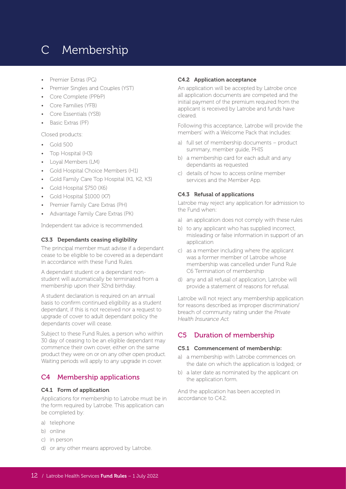- Premier Extras (PG)
- Premier Singles and Couples (YST)
- Core Complete (PP&P)
- Core Families (YFB)
- Core Essentials (YSB)
- Basic Extras (PF)

Closed products:

- Gold 500
- Top Hospital (H3)
- Loyal Members (LM)
- Gold Hospital Choice Members (H1)
- Gold Family Care Top Hospital (K1, K2, K3)
- Gold Hospital \$750 (X6)
- Gold Hospital \$1000 (X7)
- Premier Family Care Extras (PH)
- Advantage Family Care Extras (PK)

Independent tax advice is recommended.

#### C3.3 Dependants ceasing eligibility

The principal member must advise if a dependant cease to be eligible to be covered as a dependant in accordance with these Fund Rules.

A dependant student or a dependant nonstudent will automatically be terminated from a membership upon their 32nd birthday.

A student declaration is required on an annual basis to confirm continued eligibility as a student dependant, if this is not received nor a request to upgrade of cover to adult dependant policy the dependants cover will cease.

Subject to these Fund Rules, a person who within 30 day of ceasing to be an eligible dependant may commence their own cover, either on the same product they were on or on any other open product. Waiting periods will apply to any upgrade in cover.

#### C4 Membership applications

#### C4.1 Form of application

Applications for membership to Latrobe must be in the form required by Latrobe. This application can be completed by:

- a) telephone
- b) online
- c) in person
- d) or any other means approved by Latrobe.

#### C4.2 Application acceptance

An application will be accepted by Latrobe once all application documents are competed and the initial payment of the premium required from the applicant is received by Latrobe and funds have cleared.

Following this acceptance, Latrobe will provide the members' with a Welcome Pack that includes:

- a) full set of membership documents product summary, member guide, PHIS
- b) a membership card for each adult and any dependants as requested
- c) details of how to access online member services and the Member App.

#### C4.3 Refusal of applications

Latrobe may reject any application for admission to the Fund when:

- a) an application does not comply with these rules
- b) to any applicant who has supplied incorrect, misleading or false information in support of an application
- c) as a member including where the applicant was a former member of Latrobe whose membership was cancelled under Fund Rule C6 Termination of membership
- d) any and all refusal of application, Latrobe will provide a statement of reasons for refusal.

Latrobe will not reject any membership application for reasons described as improper discrimination/ breach of community rating under the *Private Health Insurance Act.*

#### C5 Duration of membership

#### C5.1 Commencement of membership:

- a) a membership with Latrobe commences on the date on which the application is lodged; or
- b) a later date as nominated by the applicant on the application form.

And the application has been accepted in accordance to C4.2.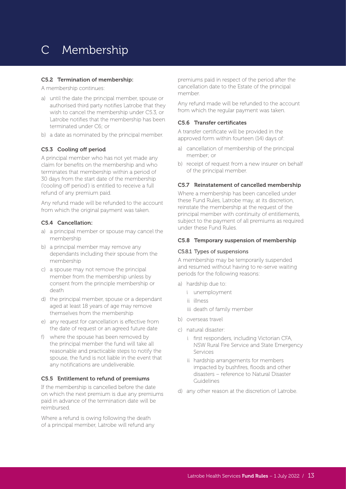#### C5.2 Termination of membership:

A membership continues:

- a) until the date the principal member, spouse or authorised third party notifies Latrobe that they wish to cancel the membership under C5.3, or Latrobe notifies that the membership has been terminated under C6; or
- b) a date as nominated by the principal member.

#### C5.3 Cooling off period

A principal member who has not yet made any claim for benefits on the membership and who terminates that membership within a period of 30 days from the start date of the membership ('cooling off period') is entitled to receive a full refund of any premium paid.

Any refund made will be refunded to the account from which the original payment was taken.

#### C5.4 Cancellation:

- a) a principal member or spouse may cancel the membership
- b) a principal member may remove any dependants including their spouse from the membership
- c) a spouse may not remove the principal member from the membership unless by consent from the principle membership or death
- d) the principal member, spouse or a dependant aged at least 18 years of age may remove themselves from the membership
- e) any request for cancellation is effective from the date of request or an agreed future date
- f) where the spouse has been removed by the principal member the fund will take all reasonable and practicable steps to notify the spouse, the fund is not liable in the event that any notifications are undeliverable.

#### C5.5 Entitlement to refund of premiums

If the membership is cancelled before the date on which the next premium is due any premiums paid in advance of the termination date will be reimbursed.

Where a refund is owing following the death of a principal member, Latrobe will refund any

premiums paid in respect of the period after the cancellation date to the Estate of the principal member.

Any refund made will be refunded to the account from which the regular payment was taken.

#### C5.6 Transfer certificates

A transfer certificate will be provided in the approved form within fourteen (14) days of:

- a) cancellation of membership of the principal member; or
- b) receipt of request from a new insurer on behalf of the principal member.

#### C5.7 Reinstatement of cancelled membership

Where a membership has been cancelled under these Fund Rules, Latrobe may, at its discretion, reinstate the membership at the request of the principal member with continuity of entitlements, subject to the payment of all premiums as required under these Fund Rules.

#### C5.8 Temporary suspension of membership

#### C5.8.1 Types of suspensions

A membership may be temporarily suspended and resumed without having to re-serve waiting periods for the following reasons:

- a) hardship due to:
	- i unemployment
	- ii illness
	- iii death of family member
- b) overseas travel
- c) natural disaster:
	- i first responders, including Victorian CFA, NSW Rural Fire Service and State Emergency Services
	- ii hardship arrangements for members impacted by bushfires, floods and other disasters – reference to Natural Disaster Guidelines
- d) any other reason at the discretion of Latrobe.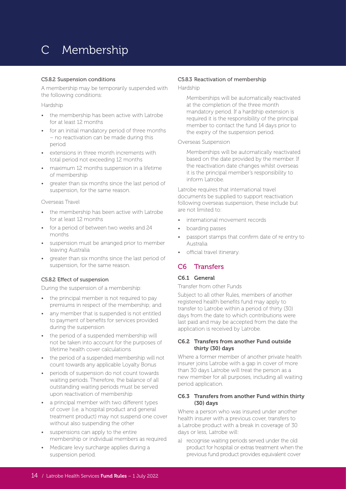#### C5.8.2 Suspension conditions

A membership may be temporarily suspended with the following conditions:

Hardship

- the membership has been active with Latrobe for at least 12 months
- for an initial mandatory period of three months – no reactivation can be made during this period
- extensions in three month increments with total period not exceeding 12 months
- maximum 12 months suspension in a lifetime of membership
- greater than six months since the last period of suspension, for the same reason.

#### Overseas Travel

- the membership has been active with Latrobe for at least 12 months
- for a period of between two weeks and 24 months
- suspension must be arranged prior to member leaving Australia
- greater than six months since the last period of suspension, for the same reason.

#### C5.8.2 Effect of suspension

During the suspension of a membership:

- the principal member is not required to pay premiums in respect of the membership; and
- any member that is suspended is not entitled to payment of benefits for services provided during the suspension
- the period of a suspended membership will not be taken into account for the purposes of lifetime health cover calculations
- the period of a suspended membership will not count towards any applicable Loyalty Bonus
- periods of suspension do not count towards waiting periods. Therefore, the balance of all outstanding waiting periods must be served upon reactivation of membership
- a principal member with two different types of cover (i.e. a hospital product and general treatment product) may not suspend one cover without also suspending the other
- suspensions can apply to the entire membership or individual members as required
- Medicare levy surcharge applies during a suspension period.

#### C5.8.3 Reactivation of membership

#### Hardship

Memberships will be automatically reactivated at the completion of the three month mandatory period. If a hardship extension is required it is the responsibility of the principal member to contact the fund 14 days prior to the expiry of the suspension period.

#### Overseas Suspension

Memberships will be automatically reactivated based on the date provided by the member. If the reactivation date changes whilst overseas it is the principal member's responsibility to inform Latrobe.

Latrobe requires that international travel documents be supplied to support reactivation following overseas suspension, these include but are not limited to:

- international movement records
- boarding passes
- passport stamps that confirm date of re entry to Australia
- official travel itinerary.

#### C6 Transfers

#### C6.1 General

Transfer from other Funds

Subject to all other Rules, members of another registered health benefits fund may apply to transfer to Latrobe within a period of thirty (30) days from the date to which contributions were last paid and may be accepted from the date the application is received by Latrobe.

#### C6.2 Transfers from another Fund outside thirty (30) days

Where a former member of another private health insurer joins Latrobe with a gap in cover of more than 30 days Latrobe will treat the person as a new member for all purposes, including all waiting period application.

#### C6.3 Transfers from another Fund within thirty (30) days

Where a person who was insured under another health insurer with a previous cover, transfers to a Latrobe product with a break in coverage of 30 days or less, Latrobe will:

a) recognise waiting periods served under the old product for hospital or extras treatment when the previous fund product provides equivalent cover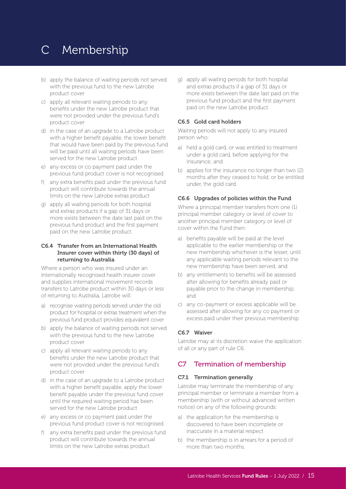- b) apply the balance of waiting periods not served with the previous fund to the new Latrobe product cover
- c) apply all relevant waiting periods to any benefits under the new Latrobe product that were not provided under the previous fund's product cover
- d) in the case of an upgrade to a Latrobe product with a higher benefit payable, the lower benefit that would have been paid by the previous fund will be paid until all waiting periods have been served for the new Latrobe product
- e) any excess or co payment paid under the previous fund product cover is not recognised
- f) any extra benefits paid under the previous fund product will contribute towards the annual limits on the new Latrobe extras product
- g) apply all waiting periods for both hospital and extras products if a gap of 31 days or more exists between the date last paid on the previous fund product and the first payment paid on the new Latrobe product.

#### C6.4 Transfer from an International Health Insurer cover within thirty (30 days) of returning to Australia

Where a person who was insured under an internationally recognised health insurer cover and supplies international movement records transfers to Latrobe product within 30 days or less of returning to Australia, Latrobe will:

- a) recognise waiting periods served under the old product for hospital or extras treatment when the previous fund product provides equivalent cover
- b) apply the balance of waiting periods not served with the previous fund to the new Latrobe product cover
- c) apply all relevant waiting periods to any benefits under the new Latrobe product that were not provided under the previous fund's product cover
- d) in the case of an upgrade to a Latrobe product with a higher benefit payable, apply the lower benefit payable under the previous fund cover until the required waiting period has been served for the new Latrobe product
- e) any excess or co payment paid under the previous fund product cover is not recognised
- f) any extra benefits paid under the previous fund product will contribute towards the annual limits on the new Latrobe extras product

g) apply all waiting periods for both hospital and extras products if a gap of 31 days or more exists between the date last paid on the previous fund product and the first payment paid on the new Latrobe product.

#### C6.5 Gold card holders

Waiting periods will not apply to any insured person who:

- a) held a gold card, or was entitled to treatment under a gold card, before applying for the insurance; and
- b) applies for the insurance no longer than two (2) months after they ceased to hold, or be entitled under, the gold card.

#### C6.6 Upgrades of policies within the Fund

Where a principal member transfers from one (1) principal member category or level of cover to another principal member category or level of cover within the Fund then:

- a) benefits payable will be paid at the level applicable to the earlier membership or the new membership whichever is the lesser, until any applicable waiting periods relevant to the new membership have been served; and
- b) any entitlements to benefits will be assessed after allowing for benefits already paid or payable prior to the change in membership; and
- c) any co-payment or excess applicable will be assessed after allowing for any co payment or excess paid under their previous membership.

#### C6.7 Waiver

Latrobe may at its discretion waive the application of all or any part of rule C6.

#### C7 Termination of membership

#### C7.1 Termination generally

Latrobe may terminate the membership of any principal member or terminate a member from a membership (with or without advanced written notice) on any of the following grounds:

- a) the application for the membership is discovered to have been incomplete or inaccurate in a material respect
- b) the membership is in arrears for a period of more than two months.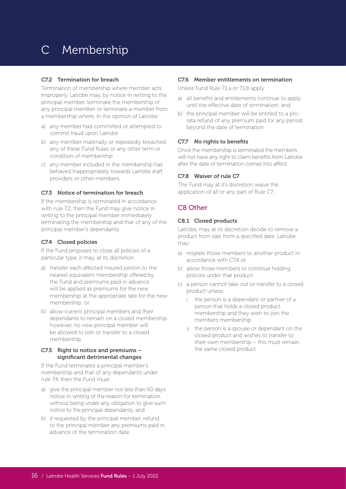#### C7.2 Termination for breach

Termination of membership where member acts improperly Latrobe may, by notice in writing to the principal member, terminate the membership of any principal member or terminate a member from a membership where, in the opinion of Latrobe:

- a) any member had committed or attempted to commit fraud upon Latrobe
- b) any member materially or repeatedly breached any of these Fund Rules or any other term or condition of membership
- c) any member included in the membership has behaved inappropriately towards Latrobe staff, providers or other members.

#### C7.3 Notice of termination for breach

If the membership is terminated in accordance with rule 7.2, then the Fund may give notice in writing to the principal member immediately terminating the membership and that of any of the principal member's dependants.

#### C7.4 Closed policies

If the Fund proposes to close all policies of a particular type, it may, at its discretion:

- a) transfer each affected insured person to the nearest equivalent membership offered by the Fund and premiums paid in advance will be applied as premiums for the new membership at the appropriate rate for the new membership; or
- b) allow current principal members and their dependants to remain on a closed membership however, no new principal member will be allowed to join or transfer to a closed membership.

#### C7.5 Right to notice and premiums – significant detrimental changes

If the Fund terminates a principal member's membership and that of any dependants under rule 7.4, then the Fund must:

- a) give the principal member not less than 60 days notice in writing of the reason for termination without being under any obligation to give such notice to the principal dependants; and
- b) if requested by the principal member, refund to the principal member any premiums paid in advance of the termination date.

#### C7.6 Member entitlements on termination

Unless Fund Rule 7.1.a or 7.1.b apply:

- a) all benefits and entitlements continue to apply until the effective date of termination; and
- b) the principal member will be entitled to a prorata refund of any premium paid for any period beyond the date of termination.

#### C7.7 No rights to benefits

Once the membership is terminated the members will not have any right to claim benefits from Latrobe after the date of termination comes into affect.

#### C7.8 Waiver of rule C7

The Fund may at it's discretion waive the application of all or any part of Rule C7.

#### C8 Other

#### C8.1 Closed products

Latrobe, may at its discretion decide to remove a product from sale from a specified date. Latrobe may:

- a) migrate those members to another product in accordance with C7.4 or
- b) allow those members to continue holding policies under that product
- c) a person cannot take out or transfer to a closed product unless:
	- i the person is a dependant or partner of a person that holds a closed product membership and they wish to join the members membership
	- ii the person is a spouse or dependant on the closed product and wishes to transfer to their own membership – this must remain the same closed product.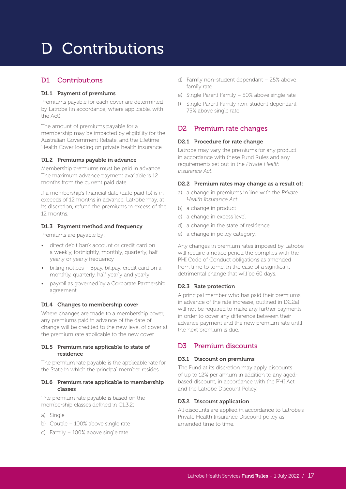# D Contributions

#### D1 Contributions

#### D1.1 Payment of premiums

Premiums payable for each cover are determined by Latrobe (in accordance, where applicable, with the Act).

The amount of premiums payable for a membership may be impacted by eligibility for the Australian Government Rebate, and the Lifetime Health Cover loading on private health insurance.

#### D1.2 Premiums payable in advance

Membership premiums must be paid in advance. The maximum advance payment available is 12 months from the current paid date.

If a membership's financial date (date paid to) is in exceeds of 12 months in advance, Latrobe may, at its discretion, refund the premiums in excess of the 12 months.

#### D1.3 Payment method and frequency

Premiums are payable by:

- direct debit bank account or credit card on a weekly, fortnightly, monthly, quarterly, half yearly or yearly frequency
- billing notices Bpay, billpay, credit card on a monthly, quarterly, half yearly and yearly
- payroll as governed by a Corporate Partnership agreement.

#### D1.4 Changes to membership cover

Where changes are made to a membership cover, any premiums paid in advance of the date of change will be credited to the new level of cover at the premium rate applicable to the new cover.

#### D1.5 Premium rate applicable to state of residence

The premium rate payable is the applicable rate for the State in which the principal member resides.

#### D1.6 Premium rate applicable to membership classes

The premium rate payable is based on the membership classes defined in C1.3.2:

- a) Single
- b) Couple 100% above single rate
- c) Family 100% above single rate
- d) Family non-student dependant 25% above family rate
- e) Single Parent Family 50% above single rate
- f) Single Parent Family non-student dependant 75% above single rate

#### D2 Premium rate changes

#### D2.1 Procedure for rate change

Latrobe may vary the premiums for any product in accordance with these Fund Rules and any requirements set out in the *Private Health Insurance Act*.

#### D2.2 Premium rates may change as a result of:

- a) a change in premiums in line with the *Private Health Insurance Act*
- b) a change in product
- c) a change in excess level
- d) a change in the state of residence
- e) a change in policy category.

Any changes in premium rates imposed by Latrobe will require a notice period the complies with the PHI Code of Conduct obligations as amended from time to tome. In the case of a significant detrimental change that will be 60 days.

#### D2.3 Rate protection

A principal member who has paid their premiums in advance of the rate increase, outlined in D2.2a) will not be required to make any further payments in order to cover any difference between their advance payment and the new premium rate until the next premium is due.

#### D3 Premium discounts

#### D3.1 Discount on premiums

The Fund at its discretion may apply discounts of up to 12% per annum in addition to any agedbased discount, in accordance with the PHI Act and the Latrobe Discount Policy.

#### D3.2 Discount application

All discounts are applied in accordance to Latrobe's Private Health Insurance Discount policy as amended time to time.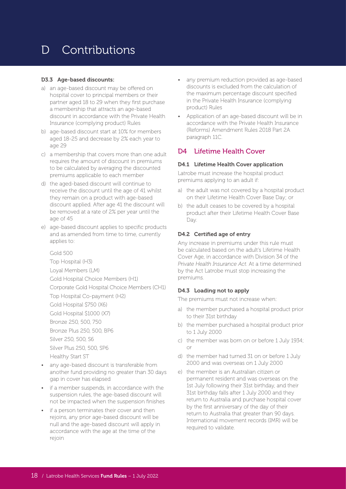### D Contributions

#### D3.3 Age-based discounts:

- a) an age-based discount may be offered on hospital cover to principal members or their partner aged 18 to 29 when they first purchase a membership that attracts an age-based discount in accordance with the Private Health Insurance (complying product) Rules
- b) age-based discount start at 10% for members aged 18-25 and decrease by 2% each year to age 29
- c) a membership that covers more than one adult requires the amount of discount in premiums to be calculated by averaging the discounted premiums applicable to each member
- d) the aged-based discount will continue to receive the discount until the age of 41 whilst they remain on a product with age-based discount applied. After age 41 the discount will be removed at a rate of 2% per year until the age of 45
- e) age-based discount applies to specific products and as amended from time to time, currently applies to:

Gold 500 Top Hospital (H3) Loyal Members (LM) Gold Hospital Choice Members (H1) Corporate Gold Hospital Choice Members (CH1) Top Hospital Co-payment (H2) Gold Hospital \$750 (X6) Gold Hospital \$1000 (X7) Bronze 250, 500, 750 Bronze Plus 250, 500, BP6 Silver 250, 500, S6 Silver Plus 250, 500, SP6 Healthy Start ST

- any age-based discount is transferable from another fund providing no greater than 30 days gap in cover has elapsed
- if a member suspends, in accordance with the suspension rules, the age-based discount will not be impacted when the suspension finishes
- if a person terminates their cover and then rejoins, any prior age-based discount will be null and the age-based discount will apply in accordance with the age at the time of the rejoin
- any premium reduction provided as age-based discounts is excluded from the calculation of the maximum percentage discount specified in the Private Health Insurance (complying product) Rules
- Application of an age-based discount will be in accordance with the Private Health Insurance (Reforms) Amendment Rules 2018 Part 2A paragraph 11C.

#### D4 Lifetime Health Cover

#### D4.1 Lifetime Health Cover application

Latrobe must increase the hospital product premiums applying to an adult if:

- a) the adult was not covered by a hospital product on their Lifetime Health Cover Base Day; or
- b) the adult ceases to be covered by a hospital product after their Lifetime Health Cover Base Day.

#### D4.2 Certified age of entry

Any increase in premiums under this rule must be calculated based on the adult's Lifetime Health Cover Age, in accordance with Division 34 of the *Private Health Insurance Act*. At a time determined by the Act Latrobe must stop increasing the premiums.

#### D4.3 Loading not to apply

The premiums must not increase when:

- a) the member purchased a hospital product prior to their 31st birthday
- b) the member purchased a hospital product prior to 1 July 2000
- c) the member was born on or before 1 July 1934; or
- d) the member had turned 31 on or before 1 July 2000 and was overseas on 1 July 2000
- e) the member is an Australian citizen or permanent resident and was overseas on the 1st July following their 31st birthday, and their 31st birthday falls after 1 July 2000 and they return to Australia and purchase hospital cover by the first anniversary of the day of their return to Australia that greater than 90 days. International movement records (IMR) will be required to validate.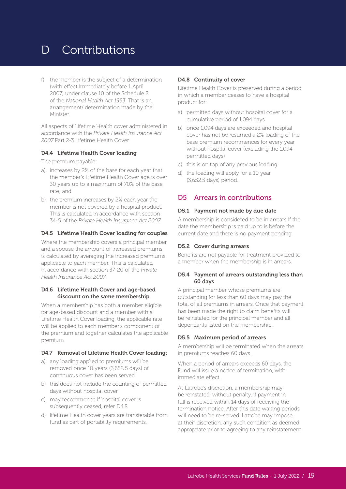### D Contributions

f) the member is the subject of a determination (with effect immediately before 1 April 2007) under clause 10 of the Schedule 2 of the *National Health Act 1953*. That is an arrangement/ determination made by the Minister.

All aspects of Lifetime Health cover administered in accordance with the *Private Health Insurance Act 2007* Part 2-3 Lifetime Health Cover.

#### D4.4 Lifetime Health Cover loading

The premium payable:

- a) increases by 2% of the base for each year that the member's Lifetime Health Cover age is over 30 years up to a maximum of 70% of the base rate; and
- b) the premium increases by 2% each year the member is not covered by a hospital product. This is calculated in accordance with section 34-5 of the *Private Health Insurance Act 2007.*

#### D4.5 Lifetime Health Cover loading for couples

Where the membership covers a principal member and a spouse the amount of increased premiums is calculated by averaging the increased premiums applicable to each member. This is calculated in accordance with section 37-20 of the *Private Health Insurance Act 2007*.

#### D4.6 Lifetime Health Cover and age-based discount on the same membership

When a membership has both a member eligible for age-based discount and a member with a Lifetime Health Cover loading, the applicable rate will be applied to each member's component of the premium and together calculates the applicable premium.

#### D4.7 Removal of Lifetime Health Cover loading:

- a) any loading applied to premiums will be removed once 10 years (3,652.5 days) of continuous cover has been served
- b) this does not include the counting of permitted days without hospital cover
- c) may recommence if hospital cover is subsequently ceased, refer D4.8
- d) lifetime Health cover years are transferable from fund as part of portability requirements.

#### D4.8 Continuity of cover

Lifetime Health Cover is preserved during a period in which a member ceases to have a hospital product for:

- a) permitted days without hospital cover for a cumulative period of 1,094 days
- b) once 1,094 days are exceeded and hospital cover has not be resumed a 2% loading of the base premium recommences for every year without hospital cover (excluding the 1,094 permitted days)
- c) this is on top of any previous loading
- d) the loading will apply for a 10 year (3,652.5 days) period.

#### D5 Arrears in contributions

#### D5.1 Payment not made by due date

A membership is considered to be in arrears if the date the membership is paid up to is before the current date and there is no payment pending.

#### D5.2 Cover during arrears

Benefits are not payable for treatment provided to a member when the membership is in arrears.

#### D5.4 Payment of arrears outstanding less than 60 days

A principal member whose premiums are outstanding for less than 60 days may pay the total of all premiums in arrears. Once that payment has been made the right to claim benefits will be reinstated for the principal member and all dependants listed on the membership.

#### D5.5 Maximum period of arrears

A membership will be terminated when the arrears in premiums reaches 60 days.

When a period of arrears exceeds 60 days, the Fund will issue a notice of termination, with immediate effect.

At Latrobe's discretion, a membership may be reinstated, without penalty, if payment in full is received within 14 days of receiving the termination notice. After this date waiting periods will need to be re-served. Latrobe may impose, at their discretion, any such condition as deemed appropriate prior to agreeing to any reinstatement.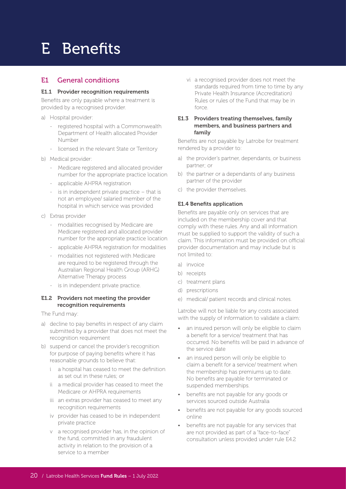#### E1 General conditions

#### E1.1 Provider recognition requirements

Benefits are only payable where a treatment is provided by a recognised provider.

- a) Hospital provider:
	- registered hospital with a Commonwealth Department of Health allocated Provider Number
	- licensed in the relevant State or Territory
- b) Medical provider:
	- Medicare registered and allocated provider number for the appropriate practice location
	- applicable AHPRA registration
	- is in independent private practice  $-$  that is not an employee/ salaried member of the hospital in which service was provided
- c) Extras provider
	- modalities recognised by Medicare are Medicare registered and allocated provider number for the appropriate practice location
	- applicable AHPRA registration for modalities
	- modalities not registered with Medicare are required to be registered through the Australian Regional Health Group (ARHG) Alternative Therapy process
	- is in independent private practice.

#### E1.2 Providers not meeting the provider recognition requirements

The Fund may:

- a) decline to pay benefits in respect of any claim submitted by a provider that does not meet the recognition requirement
- b) suspend or cancel the provider's recognition for purpose of paying benefits where it has reasonable grounds to believe that:
	- i a hospital has ceased to meet the definition as set out in these rules; or
	- ii a medical provider has ceased to meet the Medicare or AHPRA requirements
	- iii an extras provider has ceased to meet any recognition requirements
	- iv provider has ceased to be in independent private practice
	- v a recognised provider has, in the opinion of the fund, committed in any fraudulent activity in relation to the provision of a service to a member
- vi a recognised provider does not meet the standards required from time to time by any Private Health Insurance (Accreditation) Rules or rules of the Fund that may be in force.
- E1.3 Providers treating themselves, family members, and business partners and family

Benefits are not payable by Latrobe for treatment rendered by a provider to:

- a) the provider's partner, dependants, or business partner; or
- b) the partner or a dependants of any business partner of the provider
- c) the provider themselves.

#### E1.4 Benefits application

Benefits are payable only on services that are included on the membership cover and that comply with these rules. Any and all information must be supplied to support the validity of such a claim. This information must be provided on official provider documentation and may include but is not limited to:

- a) invoice
- b) receipts
- c) treatment plans
- d) prescriptions
- e) medical/ patient records and clinical notes.

Latrobe will not be liable for any costs associated with the supply of information to validate a claim:

- an insured person will only be eligible to claim a benefit for a service/ treatment that has occurred. No benefits will be paid in advance of the service date
- an insured person will only be eligible to claim a benefit for a service/ treatment when the membership has premiums up to date. No benefits are payable for terminated or suspended memberships.
- benefits are not payable for any goods or services sourced outside Australia
- benefits are not payable for any goods sourced online
- benefits are not payable for any services that are not provided as part of a "face-to-face" consultation unless provided under rule E4.2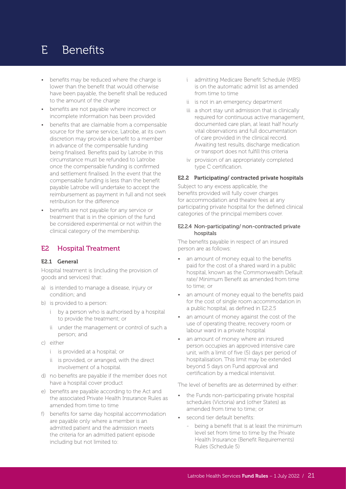- benefits may be reduced where the charge is lower than the benefit that would otherwise have been payable, the benefit shall be reduced to the amount of the charge
- benefits are not payable where incorrect or incomplete information has been provided
- benefits that are claimable from a compensable source for the same service, Latrobe, at its own discretion may provide a benefit to a member in advance of the compensable funding being finalised. Benefits paid by Latrobe in this circumstance must be refunded to Latrobe once the compensable funding is confirmed and settlement finalised. In the event that the compensable funding is less than the benefit payable Latrobe will undertake to accept the reimbursement as payment in full and not seek retribution for the difference
- benefits are not payable for any service or treatment that is in the opinion of the fund be considered experimental or not within the clinical category of the membership.

#### E2 Hospital Treatment

#### E2.1 General

Hospital treatment is (including the provision of goods and services) that:

- a) is intended to manage a disease, injury or condition; and
- b) is provided to a person:
	- i by a person who is authorised by a hospital to provide the treatment; or
	- ii under the management or control of such a person; and
- c) either
	- i is provided at a hospital; or
	- ii is provided, or arranged, with the direct involvement of a hospital.
- d) no benefits are payable if the member does not have a hospital cover product
- e) benefits are payable according to the Act and the associated Private Health Insurance Rules as amended from time to time
- f) benefits for same day hospital accommodation are payable only where a member is an admitted patient and the admission meets the criteria for an admitted patient episode including but not limited to:
- i admitting Medicare Benefit Schedule (MBS) is on the automatic admit list as amended from time to time
- ii is not in an emergency department
- iii a short stay unit admission that is clinically required for continuous active management, documented care plan, at least half hourly vital observations and full documentation of care provided in the clinical record. Awaiting test results, discharge medication or transport does not fulfill this criteria
- iv provision of an appropriately completed type C certification.

#### E2.2 Participating/ contracted private hospitals

Subject to any excess applicable, the benefits provided will fully cover charges for accommodation and theatre fees at any participating private hospital for the defined clinical categories of the principal members cover.

#### E2.2.4 Non-participating/ non-contracted private hospitals

The benefits payable in respect of an insured person are as follows:

- an amount of money equal to the benefits paid for the cost of a shared ward in a public hospital, known as the Commonwealth Default rate/ Minimum Benefit as amended from time to time; or
- an amount of money equal to the benefits paid for the cost of single room accommodation in a public hospital, as defined in E2.2.5
- an amount of money against the cost of the use of operating theatre, recovery room or labour ward in a private hospital
- an amount of money where an insured person occupies an approved intensive care unit, with a limit of five (5) days per period of hospitalisation. This limit may be extended beyond 5 days on Fund approval and certification by a medical intensivist.

The level of benefits are as determined by either:

- the Funds non-participating private hospital schedules (Victoria) and (other States) as amended from time to time; or
- second tier default benefits:
	- being a benefit that is at least the minimum level set from time to time by the Private Health Insurance (Benefit Requirements) Rules (Schedule 5)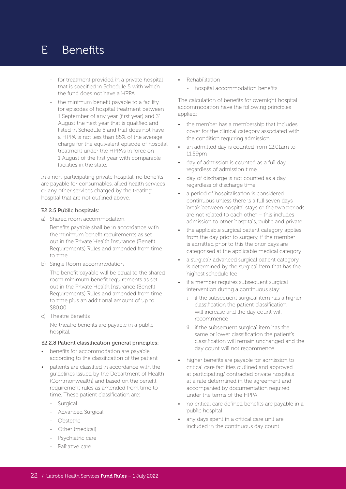- for treatment provided in a private hospital that is specified in Schedule 5 with which the fund does not have a HPPA
- the minimum benefit payable to a facility for episodes of hospital treatment between 1 September of any year (first year) and 31 August the next year that is qualified and listed in Schedule 5 and that does not have a HPPA is not less than 85% of the average charge for the equivalent episode of hospital treatment under the HPPA's in force on 1 August of the first year with comparable facilities in the state.

In a non-participating private hospital, no benefits are payable for consumables, allied health services or any other services charged by the treating hospital that are not outlined above.

#### E2.2.5 Public hospitals:

- a) Shared room accommodation Benefits payable shall be in accordance with the minimum benefit requirements as set out in the Private Health Insurance (Benefit Requirements) Rules and amended from time to time
- b) Single Room accommodation

The benefit payable will be equal to the shared room minimum benefit requirements as set out in the Private Health Insurance (Benefit Requirements) Rules and amended from time to time plus an additional amount of up to \$80.00

c) Theatre Benefits No theatre benefits are payable in a public hospital.

#### E2.2.8 Patient classification general principles:

- benefits for accommodation are payable according to the classification of the patient
- patients are classified in accordance with the guidelines issued by the Department of Health (Commonwealth) and based on the benefit requirement rules as amended from time to time. These patient classification are:
	- Surgical
	- Advanced Surgical
	- Obstetric
	- Other (medical)
	- Psychiatric care
	- Palliative care
- Rehabilitation
	- hospital accommodation benefits

The calculation of benefits for overnight hospital accommodation have the following principles applied:

- the member has a membership that includes cover for the clinical category associated with the condition requiring admission
- an admitted day is counted from 12.01am to 11.59pm
- day of admission is counted as a full day regardless of admission time
- day of discharge is not counted as a day regardless of discharge time
- a period of hospitalisation is considered continuous unless there is a full seven days break between hospital stays or the two periods are not related to each other – this includes admission to other hospitals, public and private
- the applicable surgical patient category applies from the day prior to surgery, if the member is admitted prior to this the prior days are categorised at the applicable medical category
- a surgical/ advanced surgical patient category is determined by the surgical item that has the highest schedule fee
- if a member requires subsequent surgical intervention during a continuous stay:
	- i if the subsequent surgical item has a higher classification the patient classification will increase and the day count will recommence
	- ii if the subsequent surgical item has the same or lower classification the patient's classification will remain unchanged and the day count will not recommence
- higher benefits are payable for admission to critical care facilities outlined and approved at participating/ contracted private hospitals at a rate determined in the agreement and accompanied by documentation required under the terms of the HPPA
- no critical care defined benefits are payable in a public hospital
- any days spent in a critical care unit are included in the continuous day count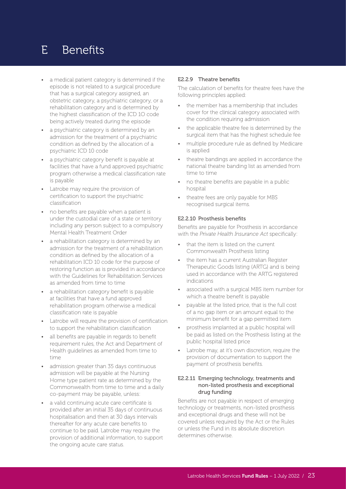- a medical patient category is determined if the episode is not related to a surgical procedure that has a surgical category assigned, an obstetric category, a psychiatric category, or a rehabilitation category and is determined by the highest classification of the ICD 1O code being actively treated during the episode
- a psychiatric category is determined by an admission for the treatment of a psychiatric condition as defined by the allocation of a psychiatric ICD 10 code
- a psychiatric category benefit is payable at facilities that have a fund approved psychiatric program otherwise a medical classification rate is payable
- Latrobe may require the provision of certification to support the psychiatric classification
- no benefits are payable when a patient is under the custodial care of a state or territory including any person subject to a compulsory Mental Health Treatment Order
- a rehabilitation category is determined by an admission for the treatment of a rehabilitation condition as defined by the allocation of a rehabilitation ICD 10 code for the purpose of restoring function as is provided in accordance with the Guidelines for Rehabilitation Services as amended from time to time
- a rehabilitation category benefit is payable at facilities that have a fund approved rehabilitation program otherwise a medical classification rate is payable
- Latrobe will require the provision of certification to support the rehabilitation classification
- all benefits are payable in regards to benefit requirement rules, the Act and Department of Health guidelines as amended from time to time
- admission greater than 35 days continuous admission will be payable at the Nursing Home type patient rate as determined by the Commonwealth from time to time and a daily co-payment may be payable, unless:
- a valid continuing acute care certificate is provided after an initial 35 days of continuous hospitalisation and then at 30 days intervals thereafter for any acute care benefits to continue to be paid. Latrobe may require the provision of additional information, to support the ongoing acute care status.

#### E2.2.9 Theatre benefits

The calculation of benefits for theatre fees have the following principles applied:

- the member has a membership that includes cover for the clinical category associated with the condition requiring admission
- the applicable theatre fee is determined by the surgical item that has the highest schedule fee
- multiple procedure rule as defined by Medicare is applied
- theatre bandings are applied in accordance the national theatre banding list as amended from time to time
- no theatre benefits are payable in a public hospital
- theatre fees are only payable for MBS recognised surgical items.

#### E2.2.10 Prosthesis benefits

Benefits are payable for Prosthesis in accordance with the *Private Health Insurance Act* specifically:

- that the item is listed on the current Commonwealth Prosthesis listing
- the item has a current Australian Register Therapeutic Goods listing (ARTG) and is being used in accordance with the ARTG registered indications
- associated with a surgical MBS item number for which a theatre benefit is payable
- payable at the listed price, that is the full cost of a no gap item or an amount equal to the minimum benefit for a gap permitted item
- prosthesis implanted at a public hospital will be paid as listed on the Prosthesis listing at the public hospital listed price
- Latrobe may, at it's own discretion, require the provision of documentation to support the payment of prosthesis benefits.

#### E2.2.11 Emerging technology, treatments and non-listed prosthesis and exceptional drug funding

Benefits are not payable in respect of emerging technology or treatments, non-listed prosthesis and exceptional drugs and these will not be covered unless required by the Act or the Rules or unless the Fund in its absolute discretion determines otherwise.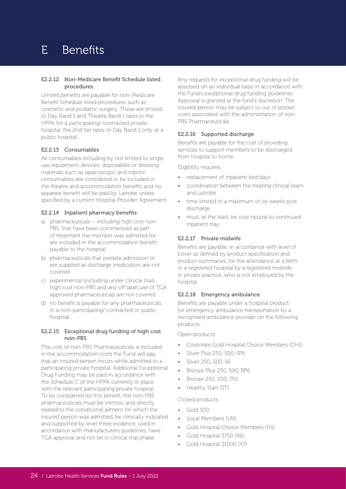#### E2.2.12 Non-Medicare Benefit Schedule listed procedures

Limited benefits are payable for non-Medicare Benefit Schedule listed procedures such as cosmetic and podiatric surgery. These are limited to Day Band 1 and Theatre Band 1 rates in the HPPA for a participating/ contracted private hospital, the 2nd tier rates or Day Band 1 only at a public hospital.

#### E2.2.13 Consumables

All consumables including by not limited to single use equipment, devices, disposables or dressing materials such as laparoscopic and robotic consumables are considered to be included in the theatre and accommodation benefits and no separate benefit will be paid by Latrobe unless specified by a current Hospital Provider Agreement.

#### E2.2.14 Inpatient pharmacy benefits:

- a) pharmaceuticals including high cost non-PBS, that have been commenced as part of treatment the member was admitted for are included in the accommodation benefit payable to the hospital
- b) pharmaceuticals that predate admission or are supplied as discharge medication are not covered
- c) experimental (including under clinical trial), high cost non-PBS and any off label use of TGA approved pharmaceuticals are not covered
- d) no benefit is payable for any pharmaceuticals in a non-participating/ contracted or public hospital.

#### E2.2.15 Exceptional drug funding of high cost non-PBS

The cost of non-PBS Pharmaceuticals is included in the accommodation costs the Fund will pay that an insured person incurs while admitted to a participating private hospital. Additional Exceptional Drug Funding may be paid in accordance with the Schedule C of the HPPA currently in place with the relevant participating private hospital. To be considered for this benefit, the non-PBS pharmaceuticals must be intrinsic and directly related to the conditional ailment for which the insured person was admitted, be clinically indicated and supported by level three evidence, used in accordance with manufacturers guidelines, have TGA approval and not be in clinical trial phase.

Any requests for exceptional drug funding will be assessed on an individual basis in accordance with the Fund's exceptional drug funding guidelines. Approval is granted at the fund's discretion. The insured person may be subject to out of pocket costs associated with the administration of non-PBS Pharmaceuticals.

#### E2.2.16 Supported discharge

Benefits are payable for the cost of providing services to support members to be discharged from hospital to home.

Eligibility requires:

- replacement of inpatient bed days
- coordination between the treating clinical team and Latrobe
- time limited to a maximum of six weeks post discharge
- must, at the least, be cost neutral to continued inpatient stay.

#### E2.2.17 Private midwife

Benefits are payable, in accordance with level of cover as defined by product specification and product summaries, for the attendance at a birth in a registered hospital by a registered midwife in private practice, who is not employed by the hospital.

#### E2.2.18 Emergency ambulance

Benefits are payable under a hospital product for emergency ambulance transportation by a recognised ambulance provider on the following products:

Open products:

- Corporate Gold Hospital Choice Members (CH1)
- Silver Plus 250, 500, SP6
- Silver 250, 500, S6
- Bronze Plus 250, 500, BP6
- Bronze 250, 500, 750
- Healthy Start (ST)

Closed products:

- Gold 500
- Loyal Members (LM)
- Gold Hospital Choice Members (H1)
- Gold Hospital \$750 (X6)
- Gold Hospital \$1000 (X7)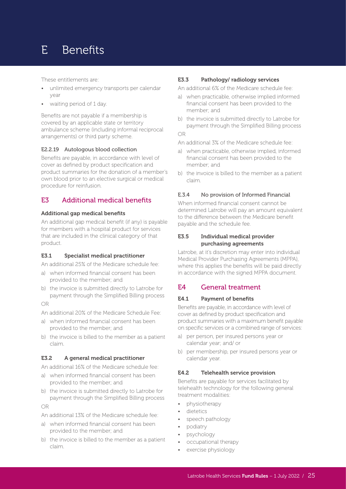These entitlements are:

- unlimited emergency transports per calendar year
- waiting period of 1 day.

Benefits are not payable if a membership is covered by an applicable state or territory ambulance scheme (including informal reciprocal arrangements) or third party scheme.

#### E2.2.19 Autologous blood collection

Benefits are payable, in accordance with level of cover as defined by product specification and product summaries for the donation of a member's own blood prior to an elective surgical or medical procedure for reinfusion.

#### E3 Additional medical benefits

#### Additional gap medical benefits

An additional gap medical benefit (if any) is payable for members with a hospital product for services that are included in the clinical category of that product.

#### E3.1 Specialist medical practitioner

An additional 25% of the Medicare schedule fee:

- a) when informed financial consent has been provided to the member; and
- b) the invoice is submitted directly to Latrobe for payment through the Simplified Billing process

OR

An additional 20% of the Medicare Schedule Fee:

- a) when informed financial consent has been provided to the member; and
- b) the invoice is billed to the member as a patient claim.

#### E3.2 A general medical practitioner

An additional 16% of the Medicare schedule fee:

- a) when informed financial consent has been provided to the member; and
- b) the invoice is submitted directly to Latrobe for payment through the Simplified Billing process

#### OR

An additional 13% of the Medicare schedule fee:

- a) when informed financial consent has been provided to the member; and
- b) the invoice is billed to the member as a patient claim.

#### E3.3 Pathology/ radiology services

An additional 6% of the Medicare schedule fee:

- a) when practicable, otherwise implied informed financial consent has been provided to the member; and
- b) the invoice is submitted directly to Latrobe for payment through the Simplified Billing process

#### OR

- An additional 3% of the Medicare schedule fee:
- a) when practicable, otherwise implied, informed financial consent has been provided to the member; and
- b) the invoice is billed to the member as a patient claim.

#### E.3.4 No provision of Informed Financial

When informed financial consent cannot be determined Latrobe will pay an amount equivalent to the difference between the Medicare benefit payable and the schedule fee.

#### E3.5 Individual medical provider purchasing agreements

Latrobe, at it's discretion may enter into individual Medical Provider Purchasing Agreements (MPPA), where this applies the benefits will be paid directly in accordance with the signed MPPA document.

#### E4 General treatment

#### E4.1 Payment of benefits

Benefits are payable, in accordance with level of cover as defined by product specification and product summaries with a maximum benefit payable on specific services or a combined range of services:

- a) per person, per insured persons year or calendar year; and/ or
- b) per membership, per insured persons year or calendar year.

#### E4.2 Telehealth service provision

Benefits are payable for services facilitated by telehealth technology for the following general treatment modalities:

- physiotherapy
- dietetics
- speech pathology
- podiatry
- psychology
- occupational therapy
- exercise physiology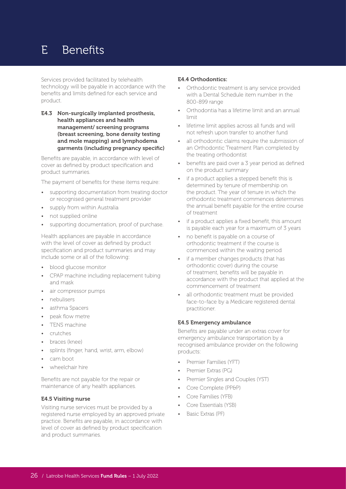Services provided facilitated by telehealth technology will be payable in accordance with the benefits and limits defined for each service and product.

E4.3 Non-surgically implanted prosthesis, health appliances and health management/ screening programs (breast screening, bone density testing and mole mapping) and lymphodema garments (including pregnancy specific)

Benefits are payable, in accordance with level of cover as defined by product specification and product summaries.

The payment of benefits for these items require:

- supporting documentation from treating doctor or recognised general treatment provider
- supply from within Australia
- not supplied online
- supporting documentation, proof of purchase.

Health appliances are payable in accordance with the level of cover as defined by product specification and product summaries and may include some or all of the following:

- blood glucose monitor
- CPAP machine including replacement tubing and mask
- air compressor pumps
- nebulisers
- asthma Spacers
- peak flow metre
- TENS machine
- crutches
- braces (knee)
- splints (finger, hand, wrist, arm, elbow)
- cam boot
- wheelchair hire

Benefits are not payable for the repair or maintenance of any health appliances.

#### E4.5 Visiting nurse

Visiting nurse services must be provided by a registered nurse employed by an approved private practice. Benefits are payable, in accordance with level of cover as defined by product specification and product summaries.

#### E4.4 Orthodontics:

- Orthodontic treatment is any service provided with a Dental Schedule item number in the 800-899 range
- Orthodontia has a lifetime limit and an annual limit
- lifetime limit applies across all funds and will not refresh upon transfer to another fund
- all orthodontic claims require the submission of an Orthodontic Treatment Plan completed by the treating orthodontist
- benefits are paid over a 3 year period as defined on the product summary
- if a product applies a stepped benefit this is determined by tenure of membership on the product. The year of tenure in which the orthodontic treatment commences determines the annual benefit payable for the entire course of treatment
- if a product applies a fixed benefit, this amount is payable each year for a maximum of 3 years
- no benefit is payable on a course of orthodontic treatment if the course is commenced within the waiting period
- if a member changes products (that has orthodontic cover) during the course of treatment, benefits will be payable in accordance with the product that applied at the commencement of treatment
- all orthodontic treatment must be provided face-to-face by a Medicare registered dental practitioner.

#### E4.5 Emergency ambulance

Benefits are payable under an extras cover for emergency ambulance transportation by a recognised ambulance provider on the following products:

- Premier Families (YFT)
- Premier Extras (PG)
- Premier Singles and Couples (YST)
- Core Complete (PP&P)
- Core Families (YFB)
- Core Essentials (YSB)
- Basic Extras (PF)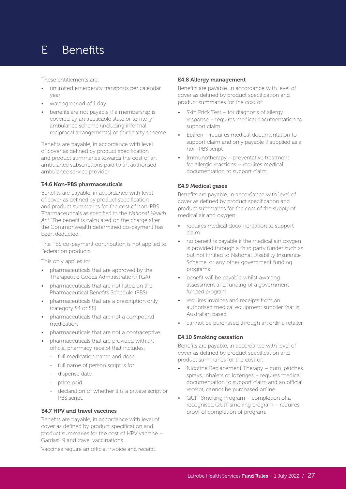These entitlements are:

- unlimited emergency transports per calendar year
- waiting period of 1 day
- benefits are not payable if a membership is covered by an applicable state or territory ambulance scheme (including informal reciprocal arrangements) or third party scheme.

Benefits are payable, in accordance with level of cover as defined by product specification and product summaries towards the cost of an ambulance subscriptions paid to an authorised ambulance service provider

#### E4.6 Non-PBS pharmaceuticals

Benefits are payable, in accordance with level of cover as defined by product specification and product summaries for the cost of non-PBS Pharmaceuticals as specified in the *National Health Act*. The benefit is calculated on the charge after the Commonwealth determined co-payment has been deducted.

The PBS co-payment contribution is not applied to Federation products.

This only applies to:

- pharmaceuticals that are approved by the Therapeutic Goods Administration (TGA)
- pharmaceuticals that are not listed on the Pharmaceutical Benefits Schedule (PBS)
- pharmaceuticals that are a prescription only (category S4 or S8)
- pharmaceuticals that are not a compound medication
- pharmaceuticals that are not a contraceptive
- pharmaceuticals that are provided with an official pharmacy receipt that includes:
	- full medication name and dose
	- full name of person script is for
	- dispense date
	- price paid
	- declaration of whether it is a private script or PBS script.

#### E4.7 HPV and travel vaccines

Benefits are payable, in accordance with level of cover as defined by product specification and product summaries for the cost of HPV vaccine – Gardasil 9 and travel vaccinations.

Vaccines require an official invoice and receipt.

#### E4.8 Allergy management

Benefits are payable, in accordance with level of cover as defined by product specification and product summaries for the cost of:

- Skin Prick Test for diagnosis of allergy response – requires medical documentation to support claim
- EpiPen requires medical documentation to support claim and only payable if supplied as a non-PBS script
- Immunotherapy preventative treatment for allergic reactions – requires medical documentation to support claim.

#### E4.9 Medical gases

Benefits are payable, in accordance with level of cover as defined by product specification and product summaries for the cost of the supply of medical air and oxygen:

- requires medical documentation to support claim
- no benefit is payable if the medical air/ oxygen is provided through a third party funder such as but not limited to National Disability Insurance Scheme, or any other government funding programs
- benefit will be payable whilst awaiting assessment and funding of a government funded program
- requires invoices and receipts from an authorised medical equipment supplier that is Australian based
- cannot be purchased through an online retailer.

#### E4.10 Smoking cessation

Benefits are payable, in accordance with level of cover as defined by product specification and product summaries for the cost of:

- Nicotine Replacement Therapy gum, patches, sprays, inhalers or lozenges – requires medical documentation to support claim and an official receipt, cannot be purchased online
- QUIT Smoking Program completion of a recognised QUIT smoking program – requires proof of completion of program.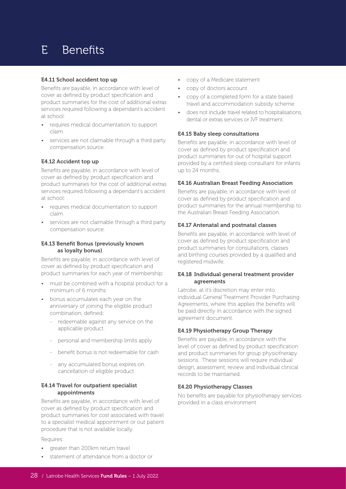#### E4.11 School accident top up

Benefits are payable, in accordance with level of cover as defined by product specification and product summaries for the cost of additional extras services required following a dependant's accident at school:

- requires medical documentation to support claim
- services are not claimable through a third party compensation source.

#### E4.12 Accident top up

Benefits are payable, in accordance with level of cover as defined by product specification and product summaries for the cost of additional extras services required following a dependant's accident at school:

- requires medical documentation to support claim
- services are not claimable through a third party compensation source.

#### E4.13 Benefit Bonus (previously known as loyalty bonus)

Benefits are payable, in accordance with level of cover as defined by product specification and product summaries for each year of membership:

- must be combined with a hospital product for a minimum of 6 months
- bonus accumulates each year on the anniversary of joining the eligible product combination, defined:
	- redeemable against any service on the applicable product.
	- personal and membership limits apply
	- benefit bonus is not redeemable for cash
	- any accumulated bonus expires on cancellation of eligible product

#### E4.14 Travel for outpatient specialist appointments

Benefits are payable, in accordance with level of cover as defined by product specification and product summaries for cost associated with travel to a specialist medical appointment or out patient procedure that is not available locally.

Requires:

- greater than 200km return travel
- statement of attendance from a doctor or
- copy of a Medicare statement
- copy of doctors account
- copy of a completed form for a state based travel and accommodation subsidy scheme
- does not include travel related to hospitalisations, dental or extras services or IVF treatment.

#### E4.15 Baby sleep consultations

Benefits are payable, in accordance with level of cover as defined by product specification and product summaries for out of hospital support provided by a certified sleep consultant for infants up to 24 months.

#### E4.16 Australian Breast Feeding Association

Benefits are payable, in accordance with level of cover as defined by product specification and product summaries for the annual membership to the Australian Breast Feeding Association.

#### E4.17 Antenatal and postnatal classes

Benefits are payable, in accordance with level of cover as defined by product specification and product summaries for consultations, classes and birthing courses provided by a qualified and registered midwife.

#### E4.18 Individual general treatment provider agreements

Latrobe, at it's discretion may enter into individual General Treatment Provider Purchasing Agreements, where this applies the benefits will be paid directly in accordance with the signed agreement document.

#### E4.19 Physiotherapy Group Therapy

Benefits are payable, in accordance with the level of cover as defined by product specification and product summaries for group physiotherapy sessions. These sessions will require individual design, assessment, review and individual clinical records to be maintained.

#### E4.20 Physiotherapy Classes

No benefits are payable for physiotherapy services provided in a class environment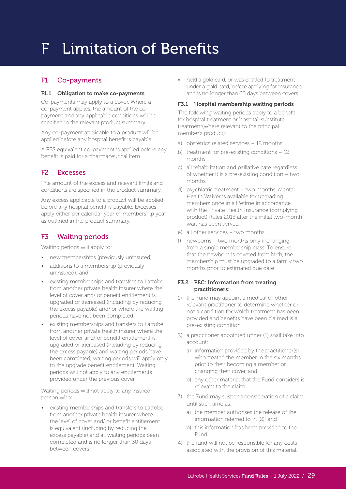#### F1 Co-payments

#### F1.1 Obligation to make co-payments

Co-payments may apply to a cover. Where a co-payment applies, the amount of the copayment and any applicable conditions will be specified in the relevant product summary.

Any co-payment applicable to a product will be applied before any hospital benefit is payable.

A PBS equivalent co-payment is applied before any benefit is paid for a pharmaceutical item.

#### F2 Excesses

The amount of the excess and relevant limits and conditions are specified in the product summary.

Any excess applicable to a product will be applied before any hospital benefit is payable. Excesses apply either per calendar year or membership year as outlined in the product summary.

#### F3 Waiting periods

Waiting periods will apply to:

- new memberships (previously uninsured)
- additions to a membership (previously uninsured); and
- existing memberships and transfers to Latrobe from another private health insurer where the level of cover and/ or benefit entitlement is upgraded or increased (including by reducing the excess payable) and/ or where the waiting periods have not been completed
- existing memberships and transfers to Latrobe from another private health insurer where the level of cover and/ or benefit entitlement is upgraded or increased (including by reducing the excess payable) and waiting periods have been completed, waiting periods will apply only to the upgrade benefit entitlement. Waiting periods will not apply to any entitlements provided under the previous cover.

Waiting periods will not apply to any insured person who:

• existing memberships and transfers to Latrobe from another private health insurer where the level of cover and/ or benefit entitlement is equivalent (including by reducing the excess payable) and all waiting periods been completed and is no longer than 30 days between covers

• held a gold card, or was entitled to treatment under a gold card, before applying for insurance, and is no longer than 60 days between covers.

#### F3.1 Hospital membership waiting periods

The following waiting periods apply to a benefit for hospital treatment or hospital-substitute treatment(where relevant to the principal member's product):

- a) obstetrics related services 12 months
- b) treatment for pre-existing conditions 12 months
- c) all rehabilitation and palliative care regardless of whether it is a pre-existing condition – two months
- d) psychiatric treatment two months. Mental Health Waiver is available for upgrading members once in a lifetime in accordance with the Private Health Insurance (complying product) Rules 2015 after the initial two-month wait has been served.
- e) all other services two months
- f) newborns two months only if changing from a single membership class. To ensure that the newborn is covered from birth, the membership must be upgraded to a family two months prior to estimated due date.

#### F3.2 PEC: Information from treating practitioners:

- 1) the Fund may appoint a medical or other relevant practitioner to determine whether or not a condition for which treatment has been provided and benefits have been claimed is a pre-existing condition
- 2) a practitioner appointed under (1) shall take into account:
	- a) information provided by the practitioner(s) who treated the member in the six months prior to their becoming a member or changing their cover, and
	- b) any other material that the Fund considers is relevant to the claim.
- 3) the Fund may suspend consideration of a claim until such time as:
	- a) the member authorises the release of the information referred to in (2); and
	- b) this information has been provided to the Fund.
- 4) the fund will not be responsible for any costs associated with the provision of this material.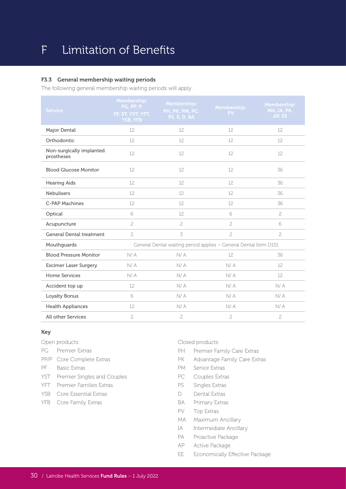#### F3.3 General membership waiting periods

The following general membership waiting periods will apply:

| <b>Service</b>                         | Membership:<br><b>PG, PP, P,</b><br>PF, ST, YST, YFT,<br><b>YSB, YFB</b> | Membership:<br>PH, PK, PM, PC,<br>PS, E, D, BA | Membership:<br>PV | Membership:<br>MA, IA, PA,<br>AP, EE |  |
|----------------------------------------|--------------------------------------------------------------------------|------------------------------------------------|-------------------|--------------------------------------|--|
| Major Dental                           | 12.                                                                      | 12.                                            | 12.               | 12.                                  |  |
| Orthodontic                            | 12                                                                       | 12                                             | 12                | 12                                   |  |
| Non-surgically implanted<br>prostheses | 12.                                                                      | 12.                                            | 12.               | 12.                                  |  |
| <b>Blood Glucose Monitor</b>           | 12                                                                       | 12                                             | 12                | 36                                   |  |
| <b>Hearing Aids</b>                    | 12                                                                       | 12                                             | 12.               | 36                                   |  |
| <b>Nebulisers</b>                      | 12                                                                       | 12                                             | 12                | 36                                   |  |
| C-PAP Machines                         | 12.                                                                      | 12.                                            | 12.               | 36                                   |  |
| Optical                                | 6                                                                        | 12                                             | 6                 | $\mathfrak{C}$                       |  |
| Acupuncture                            | $\overline{c}$                                                           | $\overline{c}$                                 | $\mathbf{2}$      | 6                                    |  |
| <b>General Dental treatment</b>        | $\overline{c}$                                                           | 3                                              | $\overline{c}$    | $\overline{c}$                       |  |
| Mouthguards                            | General Dental waiting period applies - General Dental Item D151         |                                                |                   |                                      |  |
| <b>Blood Pressure Monitor</b>          | N/A                                                                      | N/A                                            | 12                | 36                                   |  |
| Excimer Laser Surgery                  | N/A                                                                      | N/A                                            | N/A               | 12                                   |  |
| Home Services                          | N/A                                                                      | N/A                                            | N/A               | 12.                                  |  |
| Accident top up                        | 12                                                                       | N/A                                            | N/A               | N/A                                  |  |
| Loyalty Bonus                          | 6                                                                        | N/A                                            | N/A               | N/A                                  |  |
| <b>Health Appliances</b>               | 12                                                                       | N/A                                            | N/A               | N/A                                  |  |
| <b>All other Services</b>              | $\overline{c}$                                                           | $\overline{c}$                                 | $\overline{c}$    | $\overline{c}$                       |  |

#### Key

- Open products:
- PG Premier Extras
- PP/P Core Complete Extras
- PF Basic Extras
- YST Premier Singles and Couples
- YFT Premier Families Extras
- YSB Core Essential Extras
- YFB Core Family Extras

Closed products:

- PH Premier Family Care Extras
- PK Advantage Family Care Extras
- PM Senior Extras
- PC Couples Extras
- PS Singles Extras
- D Dental Extras
- BA Primary Extras
- PV Top Extras
- MA Maximum Ancillary
- IA Intermediate Ancillary
- PA Proactive Package
- AP Active Package
- EE Economically Effective Package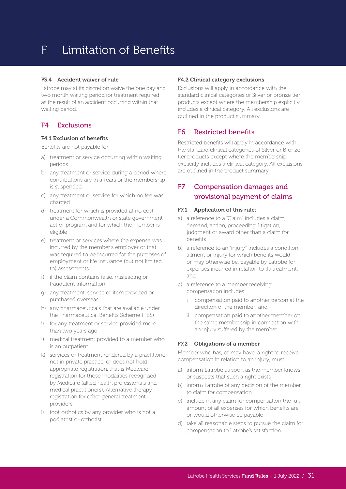#### F3.4 Accident waiver of rule

Latrobe may at its discretion waive the one day and two month waiting period for treatment required as the result of an accident occurring within that waiting period.

#### F4 Exclusions

#### F4.1 Exclusion of benefits

Benefits are not payable for:

- a) treatment or service occurring within waiting periods
- b) any treatment or service during a period where contributions are in arrears or the membership is suspended
- c) any treatment or service for which no fee was charged
- d) treatment for which is provided at no cost under a Commonwealth or state government act or program and for which the member is eligible
- e) treatment or services where the expense was incurred by the member's employer or that was required to be incurred for the purposes of employment or life insurance (but not limited to) assessments
- f) if the claim contains false, misleading or fraudulent information
- g) any treatment, service or item provided or purchased overseas
- h) any pharmaceuticals that are available under the Pharmaceutical Benefits Scheme (PBS)
- i) for any treatment or service provided more than two years ago
- j) medical treatment provided to a member who is an outpatient
- k) services or treatment rendered by a practitioner not in private practice, or does not hold appropriate registration, that is Medicare registration for those modalities recognised by Medicare (allied health professionals and medical practitioners). Alternative therapy registration for other general treatment providers
- l) foot orthotics by any provider who is not a podiatrist or orthotist.

#### F4.2 Clinical category exclusions

Exclusions will apply in accordance with the standard clinical categories of Silver or Bronze tier products except where the membership explicitly includes a clinical category. All exclusions are outlined in the product summary.

#### F6 Restricted benefits

Restricted benefits will apply in accordance with the standard clinical categories of Silver or Bronze tier products except where the membership explicitly includes a clinical category. All exclusions are outlined in the product summary.

#### F7 Compensation damages and provisional payment of claims

#### F7.1 Application of this rule:

- a) a reference to a "Claim" includes a claim, demand, action, proceeding, litigation, judgment or award other than a claim for benefits
- b) a reference to an "injury" includes a condition, ailment or injury for which benefits would or may otherwise be, payable by Latrobe for expenses incurred in relation to its treatment; and
- c) a reference to a member receiving compensation includes:
	- i compensation paid to another person at the direction of the member; and
	- ii compensation paid to another member on the same membership in connection with an injury suffered by the member.

#### F7.2 Obligations of a member

Member who has, or may have, a right to receive compensation in relation to an injury, must:

- a) inform Latrobe as soon as the member knows or suspects that such a right exists
- b) inform Latrobe of any decision of the member to claim for compensation
- c) include in any claim for compensation the full amount of all expenses for which benefits are or would otherwise be payable
- d) take all reasonable steps to pursue the claim for compensation to Latrobe's satisfaction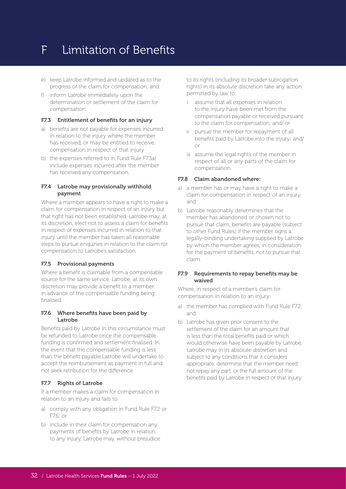- e) keep Latrobe informed and updated as to the progress of the claim for compensation; and
- f) inform Latrobe immediately upon the determination or settlement of the claim for compensation.

#### F7.3 Entitlement of benefits for an injury

- a) benefits are not payable for expenses incurred in relation to the injury where the member has received, or may be entitled to receive, compensation in respect of that injury
- b) the expenses referred to in Fund Rule F7.3a) include expenses incurred after the member has received any compensation.

#### F7.4 Latrobe may provisionally withhold payment

Where a member appears to have a right to make a claim for compensation in respect of an injury but that right has not been established, Latrobe may, at its discretion, elect not to assess a claim for benefits in respect of expenses incurred in relation to that injury until the member has taken all reasonable steps to pursue enquiries in relation to the claim for compensation to Latrobe's satisfaction.

#### F7.5 Provisional payments

Where a benefit is claimable from a compensable source for the same service, Latrobe, at its own discretion may provide a benefit to a member in advance of the compensable funding being finalised.

#### F7.6 Where benefits have been paid by Latrobe

Benefits paid by Latrobe in this circumstance must be refunded to Latrobe once the compensable funding is confirmed and settlement finalised. In the event that the compensable funding is less than the benefit payable Latrobe will undertake to accept the reimbursement as payment in full and not seek retribution for the difference.

#### F7.7 Rights of Latrobe

If a member makes a claim for compensation in relation to an injury and fails to:

- a) comply with any obligation in Fund Rule F7.2 or F7.6; or
- b) include in their claim for compensation any payments of benefits by Latrobe in relation to any injury, Latrobe may, without prejudice

to its rights (including its broader subrogation rights) in its absolute discretion take any action permitted by law to:

- i assume that all expenses in relation to the injury have been met from the compensation payable or received pursuant to the claim for compensation; and/ or
- ii pursue the member for repayment of all benefits paid by Latrobe into the injury; and/ or
- iii assume the legal rights of the member in respect of all or any parts of the claim for compensation.

#### F7.8 Claim abandoned where:

- a) a member has or may have a right to make a claim for compensation in respect of an injury, and
- b) Latrobe reasonably determines that the member has abandoned or chosen not to pursue that claim, benefits are payable (subject to other Fund Rules) if the member signs a legally-binding undertaking supplied by Latrobe by which the member agrees, in consideration for the payment of benefits, not to pursue that claim.

#### F7.9 Requirements to repay benefits may be waived

Where, in respect of a member's claim for compensation in relation to an injury:

- a) the member has complied with Fund Rule F7.2, and
- b) Latrobe has given prior consent to the settlement of the claim for an amount that is less than the total benefits paid or which would otherwise have been payable by Latrobe, Latrobe may in its absolute discretion and subject to any conditions that it considers appropriate, determine that the member need not repay any part, or the full amount of the benefits paid by Latrobe in respect of that injury.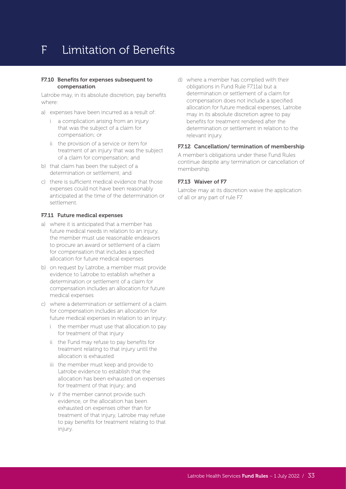#### F7.10 Benefits for expenses subsequent to compensation

Latrobe may, in its absolute discretion, pay benefits where:

- a) expenses have been incurred as a result of:
	- i a complication arising from an injury that was the subject of a claim for compensation; or
	- ii the provision of a service or item for treatment of an injury that was the subject of a claim for compensation; and
- b) that claim has been the subject of a determination or settlement; and
- c) there is sufficient medical evidence that those expenses could not have been reasonably anticipated at the time of the determination or settlement.

#### F7.11 Future medical expenses

- a) where it is anticipated that a member has future medical needs in relation to an injury, the member must use reasonable endeavors to procure an award or settlement of a claim for compensation that includes a specified allocation for future medical expenses
- b) on request by Latrobe, a member must provide evidence to Latrobe to establish whether a determination or settlement of a claim for compensation includes an allocation for future medical expenses
- c) where a determination or settlement of a claim for compensation includes an allocation for future medical expenses in relation to an injury:
	- i the member must use that allocation to pay for treatment of that injury
	- ii the Fund may refuse to pay benefits for treatment relating to that injury until the allocation is exhausted
	- iii the member must keep and provide to Latrobe evidence to establish that the allocation has been exhausted on expenses for treatment of that injury; and
	- iv if the member cannot provide such evidence, or the allocation has been exhausted on expenses other than for treatment of that injury, Latrobe may refuse to pay benefits for treatment relating to that injury.

d) where a member has complied with their obligations in Fund Rule F7.11a) but a determination or settlement of a claim for compensation does not include a specified allocation for future medical expenses, Latrobe may in its absolute discretion agree to pay benefits for treatment rendered after the determination or settlement in relation to the relevant injury.

#### F7.12 Cancellation/ termination of membership

A member's obligations under these Fund Rules continue despite any termination or cancellation of membership.

#### F7.13 Waiver of F7

Latrobe may at its discretion waive the application of all or any part of rule F7.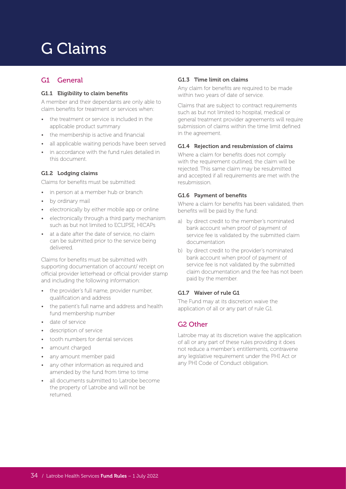# G Claims

#### G1 General

#### G1.1 Eligibility to claim benefits

A member and their dependants are only able to claim benefits for treatment or services when:

- the treatment or service is included in the applicable product summary
- the membership is active and financial
- all applicable waiting periods have been served
- in accordance with the fund rules detailed in this document.

#### G1.2 Lodging claims

Claims for benefits must be submitted:

- in person at a member hub or branch
- by ordinary mail
- electronically by either mobile app or online
- electronically through a third party mechanism such as but not limited to ECLIPSE, HICAPs
- at a date after the date of service, no claim can be submitted prior to the service being delivered.

Claims for benefits must be submitted with supporting documentation of account/ receipt on official provider letterhead or official provider stamp and including the following information:

- the provider's full name, provider number, qualification and address
- the patient's full name and address and health fund membership number
- date of service
- description of service
- tooth numbers for dental services
- amount charged
- any amount member paid
- any other information as required and amended by the fund from time to time
- all documents submitted to Latrobe become the property of Latrobe and will not be returned.

#### G1.3 Time limit on claims

Any claim for benefits are required to be made within two years of date of service.

Claims that are subject to contract requirements such as but not limited to hospital, medical or general treatment provider agreements will require submission of claims within the time limit defined in the agreement.

#### G1.4 Rejection and resubmission of claims

Where a claim for benefits does not comply with the requirement outlined, the claim will be rejected. This same claim may be resubmitted and accepted if all requirements are met with the resubmission.

#### G1.6 Payment of benefits

Where a claim for benefits has been validated, then benefits will be paid by the fund:

- a) by direct credit to the member's nominated bank account when proof of payment of service fee is validated by the submitted claim documentation
- b) by direct credit to the provider's nominated bank account when proof of payment of service fee is not validated by the submitted claim documentation and the fee has not been paid by the member.

#### G1.7 Waiver of rule G1

The Fund may at its discretion waive the application of all or any part of rule G1.

#### G2 Other

Latrobe may at its discretion waive the application of all or any part of these rules providing it does not reduce a member's entitlements, contravene any legislative requirement under the PHI Act or any PHI Code of Conduct obligation.